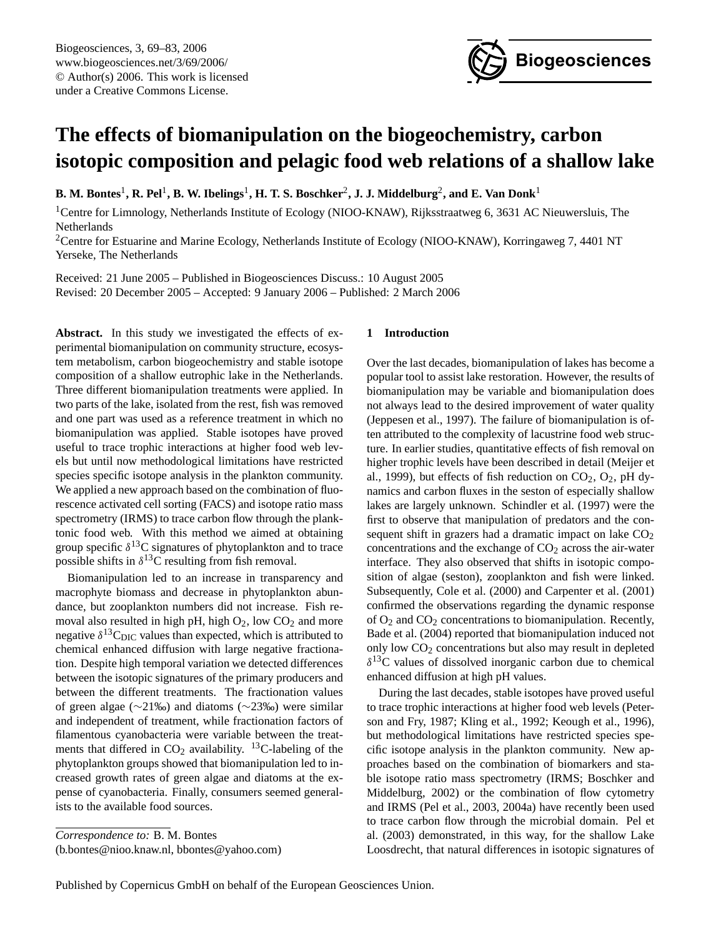

# **The effects of biomanipulation on the biogeochemistry, carbon isotopic composition and pelagic food web relations of a shallow lake**

 ${\bf B.\ M.\ Bontes^1,\ R.\ Pel^1,\ B.\ W.\ Ibelings^1,\ H.\ T.\ S.\ Boschker^2,\ J.\ J.\ Middelburg^2,\ and\ E.\ Van\ Donk^1$ 

<sup>1</sup>Centre for Limnology, Netherlands Institute of Ecology (NIOO-KNAW), Rijksstraatweg 6, 3631 AC Nieuwersluis, The Netherlands

<sup>2</sup>Centre for Estuarine and Marine Ecology, Netherlands Institute of Ecology (NIOO-KNAW), Korringaweg 7, 4401 NT Yerseke, The Netherlands

Received: 21 June 2005 – Published in Biogeosciences Discuss.: 10 August 2005 Revised: 20 December 2005 – Accepted: 9 January 2006 – Published: 2 March 2006

Abstract. In this study we investigated the effects of experimental biomanipulation on community structure, ecosystem metabolism, carbon biogeochemistry and stable isotope composition of a shallow eutrophic lake in the Netherlands. Three different biomanipulation treatments were applied. In two parts of the lake, isolated from the rest, fish was removed and one part was used as a reference treatment in which no biomanipulation was applied. Stable isotopes have proved useful to trace trophic interactions at higher food web levels but until now methodological limitations have restricted species specific isotope analysis in the plankton community. We applied a new approach based on the combination of fluorescence activated cell sorting (FACS) and isotope ratio mass spectrometry (IRMS) to trace carbon flow through the planktonic food web. With this method we aimed at obtaining group specific  $\delta^{13}$ C signatures of phytoplankton and to trace possible shifts in  $\delta^{13}$ C resulting from fish removal.

Biomanipulation led to an increase in transparency and macrophyte biomass and decrease in phytoplankton abundance, but zooplankton numbers did not increase. Fish removal also resulted in high pH, high  $O_2$ , low  $CO_2$  and more negative  $\delta^{13}C_{\text{DIC}}$  values than expected, which is attributed to chemical enhanced diffusion with large negative fractionation. Despite high temporal variation we detected differences between the isotopic signatures of the primary producers and between the different treatments. The fractionation values of green algae (∼21‰) and diatoms (∼23‰) were similar and independent of treatment, while fractionation factors of filamentous cyanobacteria were variable between the treatments that differed in  $CO<sub>2</sub>$  availability. <sup>13</sup>C-labeling of the phytoplankton groups showed that biomanipulation led to increased growth rates of green algae and diatoms at the expense of cyanobacteria. Finally, consumers seemed generalists to the available food sources.

<span id="page-0-0"></span>(b.bontes@nioo.knaw.nl, bbontes@yahoo.com)

# **1 Introduction**

Over the last decades, biomanipulation of lakes has become a popular tool to assist lake restoration. However, the results of biomanipulation may be variable and biomanipulation does not always lead to the desired improvement of water quality (Jeppesen et al., 1997). The failure of biomanipulation is often attributed to the complexity of lacustrine food web structure. In earlier studies, quantitative effects of fish removal on higher trophic levels have been described in detail (Meijer et al., 1999), but effects of fish reduction on  $CO<sub>2</sub>$ ,  $O<sub>2</sub>$ , pH dynamics and carbon fluxes in the seston of especially shallow lakes are largely unknown. Schindler et al. (1997) were the first to observe that manipulation of predators and the consequent shift in grazers had a dramatic impact on lake  $CO<sub>2</sub>$ concentrations and the exchange of  $CO<sub>2</sub>$  across the air-water interface. They also observed that shifts in isotopic composition of algae (seston), zooplankton and fish were linked. Subsequently, Cole et al. (2000) and Carpenter et al. (2001) confirmed the observations regarding the dynamic response of  $O_2$  and  $CO_2$  concentrations to biomanipulation. Recently, Bade et al. (2004) reported that biomanipulation induced not only low CO<sup>2</sup> concentrations but also may result in depleted  $\delta^{13}$ C values of dissolved inorganic carbon due to chemical enhanced diffusion at high pH values.

During the last decades, stable isotopes have proved useful to trace trophic interactions at higher food web levels (Peterson and Fry, 1987; Kling et al., 1992; Keough et al., 1996), but methodological limitations have restricted species specific isotope analysis in the plankton community. New approaches based on the combination of biomarkers and stable isotope ratio mass spectrometry (IRMS; Boschker and Middelburg, 2002) or the combination of flow cytometry and IRMS (Pel et al., 2003, 2004a) have recently been used to trace carbon flow through the microbial domain. Pel et al. (2003) demonstrated, in this way, for the shallow Lake Loosdrecht, that natural differences in isotopic signatures of

*Correspondence to:* B. M. Bontes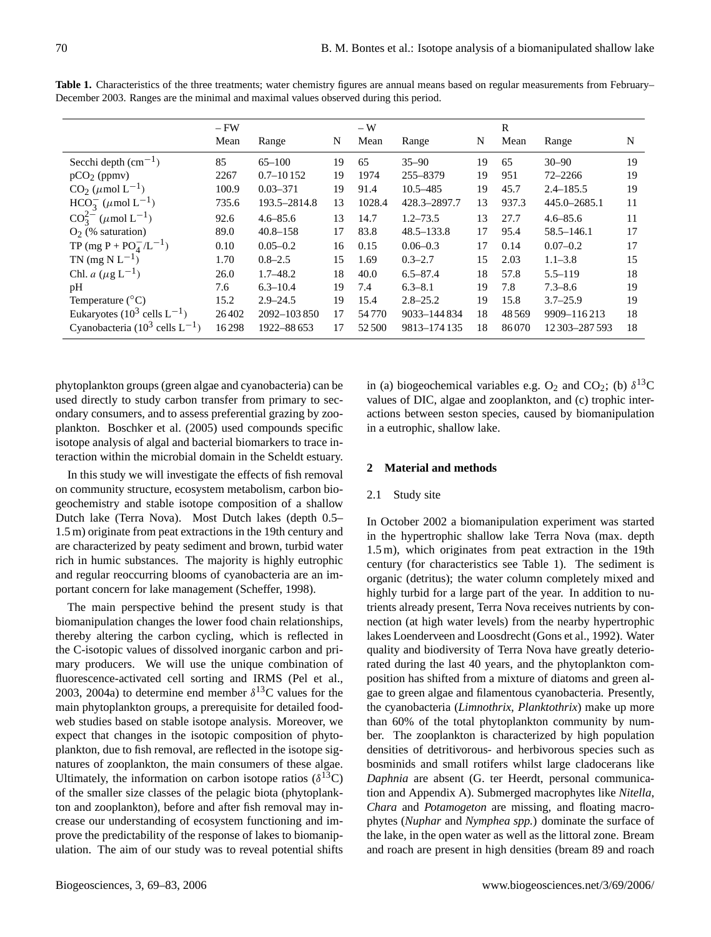|                                                 | $-FW$ |               |    | $-W$   |                |    | R     |                  |    |
|-------------------------------------------------|-------|---------------|----|--------|----------------|----|-------|------------------|----|
|                                                 | Mean  | Range         | N  | Mean   | Range          | N  | Mean  | Range            | N  |
| Secchi depth $\text{(cm}^{-1})$                 | 85    | $65 - 100$    | 19 | 65     | $35 - 90$      | 19 | 65    | $30 - 90$        | 19 |
| $pCO2$ (ppmv)                                   | 2267  | $0.7 - 10152$ | 19 | 1974   | 255-8379       | 19 | 951   | $72 - 2266$      | 19 |
| $CO2$ ( $\mu$ mol L <sup>-1</sup> )             | 100.9 | $0.03 - 371$  | 19 | 91.4   | $10.5 - 485$   | 19 | 45.7  | $2.4 - 185.5$    | 19 |
| $HCO_3^-$ ( $\mu$ mol L <sup>-1</sup> )         | 735.6 | 193.5-2814.8  | 13 | 1028.4 | 428.3-2897.7   | 13 | 937.3 | 445.0-2685.1     | 11 |
| $CO_3^{2-}$ ( $\mu$ mol L <sup>-1</sup> )       | 92.6  | $4.6 - 85.6$  | 13 | 14.7   | $1.2 - 73.5$   | 13 | 27.7  | $4.6 - 85.6$     | 11 |
| $O2$ (% saturation)                             | 89.0  | $40.8 - 158$  | 17 | 83.8   | $48.5 - 133.8$ | 17 | 95.4  | $58.5 - 146.1$   | 17 |
| TP (mg P + $PO_4^-/L^{-1}$ )                    | 0.10  | $0.05 - 0.2$  | 16 | 0.15   | $0.06 - 0.3$   | 17 | 0.14  | $0.07 - 0.2$     | 17 |
| TN $(mg N L^{-1})$                              | 1.70  | $0.8 - 2.5$   | 15 | 1.69   | $0.3 - 2.7$    | 15 | 2.03  | $1.1 - 3.8$      | 15 |
| Chl. <i>a</i> ( $\mu$ g L <sup>-1</sup> )       | 26.0  | $1.7 - 48.2$  | 18 | 40.0   | $6.5 - 87.4$   | 18 | 57.8  | $5.5 - 119$      | 18 |
| pH                                              | 7.6   | $6.3 - 10.4$  | 19 | 7.4    | $6.3 - 8.1$    | 19 | 7.8   | $7.3 - 8.6$      | 19 |
| Temperature $(^{\circ}C)$                       | 15.2  | $2.9 - 24.5$  | 19 | 15.4   | $2.8 - 25.2$   | 19 | 15.8  | $3.7 - 25.9$     | 19 |
| Eukaryotes (10 <sup>3</sup> cells $L^{-1}$ )    | 26402 | 2092-103850   | 17 | 54770  | 9033-144834    | 18 | 48569 | 9909-116213      | 18 |
| Cyanobacteria (10 <sup>3</sup> cells $L^{-1}$ ) | 16298 | 1922-88 653   | 17 | 52500  | 9813-174135    | 18 | 86070 | 12 303 - 287 593 | 18 |

Table 1. Characteristics of the three treatments; water chemistry figures are annual means based on regular measurements from February– December 2003. Ranges are the minimal and maximal values observed during this period.

phytoplankton groups (green algae and cyanobacteria) can be used directly to study carbon transfer from primary to secondary consumers, and to assess preferential grazing by zooplankton. Boschker et al. (2005) used compounds specific isotope analysis of algal and bacterial biomarkers to trace interaction within the microbial domain in the Scheldt estuary.

In this study we will investigate the effects of fish removal on community structure, ecosystem metabolism, carbon biogeochemistry and stable isotope composition of a shallow Dutch lake (Terra Nova). Most Dutch lakes (depth 0.5– 1.5 m) originate from peat extractions in the 19th century and are characterized by peaty sediment and brown, turbid water rich in humic substances. The majority is highly eutrophic and regular reoccurring blooms of cyanobacteria are an important concern for lake management (Scheffer, 1998).

The main perspective behind the present study is that biomanipulation changes the lower food chain relationships, thereby altering the carbon cycling, which is reflected in the C-isotopic values of dissolved inorganic carbon and primary producers. We will use the unique combination of fluorescence-activated cell sorting and IRMS (Pel et al., 2003, 2004a) to determine end member  $\delta^{13}$ C values for the main phytoplankton groups, a prerequisite for detailed foodweb studies based on stable isotope analysis. Moreover, we expect that changes in the isotopic composition of phytoplankton, due to fish removal, are reflected in the isotope signatures of zooplankton, the main consumers of these algae. Ultimately, the information on carbon isotope ratios  $(\delta^{13}C)$ of the smaller size classes of the pelagic biota (phytoplankton and zooplankton), before and after fish removal may increase our understanding of ecosystem functioning and improve the predictability of the response of lakes to biomanipulation. The aim of our study was to reveal potential shifts

in (a) biogeochemical variables e.g.  $O_2$  and  $CO_2$ ; (b)  $\delta^{13}C$ values of DIC, algae and zooplankton, and (c) trophic interactions between seston species, caused by biomanipulation in a eutrophic, shallow lake.

# **2 Material and methods**

# 2.1 Study site

In October 2002 a biomanipulation experiment was started in the hypertrophic shallow lake Terra Nova (max. depth 1.5 m), which originates from peat extraction in the 19th century (for characteristics see Table 1). The sediment is organic (detritus); the water column completely mixed and highly turbid for a large part of the year. In addition to nutrients already present, Terra Nova receives nutrients by connection (at high water levels) from the nearby hypertrophic lakes Loenderveen and Loosdrecht (Gons et al., 1992). Water quality and biodiversity of Terra Nova have greatly deteriorated during the last 40 years, and the phytoplankton composition has shifted from a mixture of diatoms and green algae to green algae and filamentous cyanobacteria. Presently, the cyanobacteria (*Limnothrix*, *Planktothrix*) make up more than 60% of the total phytoplankton community by number. The zooplankton is characterized by high population densities of detritivorous- and herbivorous species such as bosminids and small rotifers whilst large cladocerans like *Daphnia* are absent (G. ter Heerdt, personal communication and Appendix A). Submerged macrophytes like *Nitella*, *Chara* and *Potamogeton* are missing, and floating macrophytes (*Nuphar* and *Nymphea spp.*) dominate the surface of the lake, in the open water as well as the littoral zone. Bream and roach are present in high densities (bream 89 and roach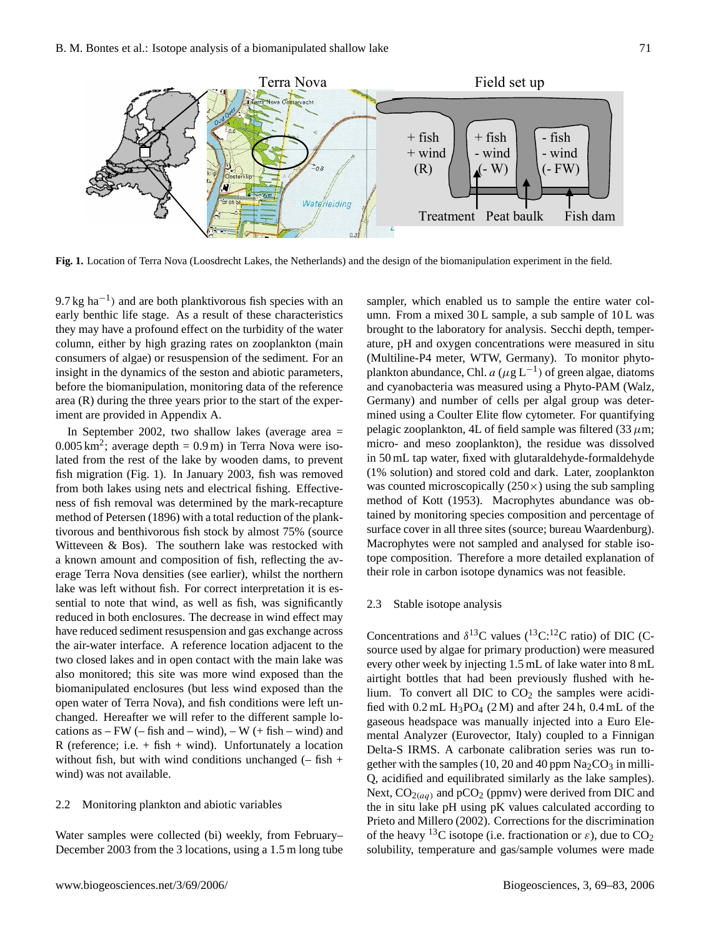

**Fig. 1.** Location of Terra Nova (Loosdrecht Lakes, the Netherlands) and the design of the biomanipulation experiment in the field.

9.7 kg ha<sup>-1</sup>) and are both planktivorous fish species with an early benthic life stage. As a result of these characteristics they may have a profound effect on the turbidity of the water column, either by high grazing rates on zooplankton (main consumers of algae) or resuspension of the sediment. For an insight in the dynamics of the seston and abiotic parameters, before the biomanipulation, monitoring data of the reference area (R) during the three years prior to the start of the experiment are provided in Appendix A.

In September 2002, two shallow lakes (average area =  $0.005 \text{ km}^2$ ; average depth =  $0.9 \text{ m}$ ) in Terra Nova were isolated from the rest of the lake by wooden dams, to prevent fish migration (Fig. 1). In January 2003, fish was removed from both lakes using nets and electrical fishing. Effectiveness of fish removal was determined by the mark-recapture method of Petersen (1896) with a total reduction of the planktivorous and benthivorous fish stock by almost 75% (source Witteveen & Bos). The southern lake was restocked with a known amount and composition of fish, reflecting the average Terra Nova densities (see earlier), whilst the northern lake was left without fish. For correct interpretation it is essential to note that wind, as well as fish, was significantly reduced in both enclosures. The decrease in wind effect may have reduced sediment resuspension and gas exchange across the air-water interface. A reference location adjacent to the two closed lakes and in open contact with the main lake was also monitored; this site was more wind exposed than the biomanipulated enclosures (but less wind exposed than the open water of Terra Nova), and fish conditions were left unchanged. Hereafter we will refer to the different sample locations as  $-FW$  (– fish and – wind), – W (+ fish – wind) and R (reference; i.e.  $+$  fish  $+$  wind). Unfortunately a location without fish, but with wind conditions unchanged  $(-$  fish  $+$ wind) was not available.

#### 2.2 Monitoring plankton and abiotic variables

Water samples were collected (bi) weekly, from February– December 2003 from the 3 locations, using a 1.5 m long tube sampler, which enabled us to sample the entire water column. From a mixed 30 L sample, a sub sample of 10 L was brought to the laboratory for analysis. Secchi depth, temperature, pH and oxygen concentrations were measured in situ (Multiline-P4 meter, WTW, Germany). To monitor phytoplankton abundance, Chl.  $a (\mu g L^{-1})$  of green algae, diatoms and cyanobacteria was measured using a Phyto-PAM (Walz, Germany) and number of cells per algal group was determined using a Coulter Elite flow cytometer. For quantifying pelagic zooplankton, 4L of field sample was filtered (33  $\mu$ m; micro- and meso zooplankton), the residue was dissolved in 50 mL tap water, fixed with glutaraldehyde-formaldehyde (1% solution) and stored cold and dark. Later, zooplankton was counted microscopically  $(250\times)$  using the sub sampling method of Kott (1953). Macrophytes abundance was obtained by monitoring species composition and percentage of surface cover in all three sites (source; bureau Waardenburg). Macrophytes were not sampled and analysed for stable isotope composition. Therefore a more detailed explanation of their role in carbon isotope dynamics was not feasible.

# 2.3 Stable isotope analysis

Concentrations and  $\delta^{13}$ C values ( $^{13}$ C:<sup>12</sup>C ratio) of DIC (Csource used by algae for primary production) were measured every other week by injecting 1.5 mL of lake water into 8 mL airtight bottles that had been previously flushed with helium. To convert all DIC to  $CO<sub>2</sub>$  the samples were acidified with  $0.2$  mL  $H_3PO_4$  (2 M) and after 24 h, 0.4 mL of the gaseous headspace was manually injected into a Euro Elemental Analyzer (Eurovector, Italy) coupled to a Finnigan Delta-S IRMS. A carbonate calibration series was run together with the samples (10, 20 and 40 ppm  $\text{Na}_2\text{CO}_3$  in milli-Q, acidified and equilibrated similarly as the lake samples). Next,  $CO<sub>2</sub>(aq)$  and  $pCO<sub>2</sub>$  (ppmv) were derived from DIC and the in situ lake pH using pK values calculated according to Prieto and Millero (2002). Corrections for the discrimination of the heavy <sup>13</sup>C isotope (i.e. fractionation or  $\varepsilon$ ), due to CO<sub>2</sub> solubility, temperature and gas/sample volumes were made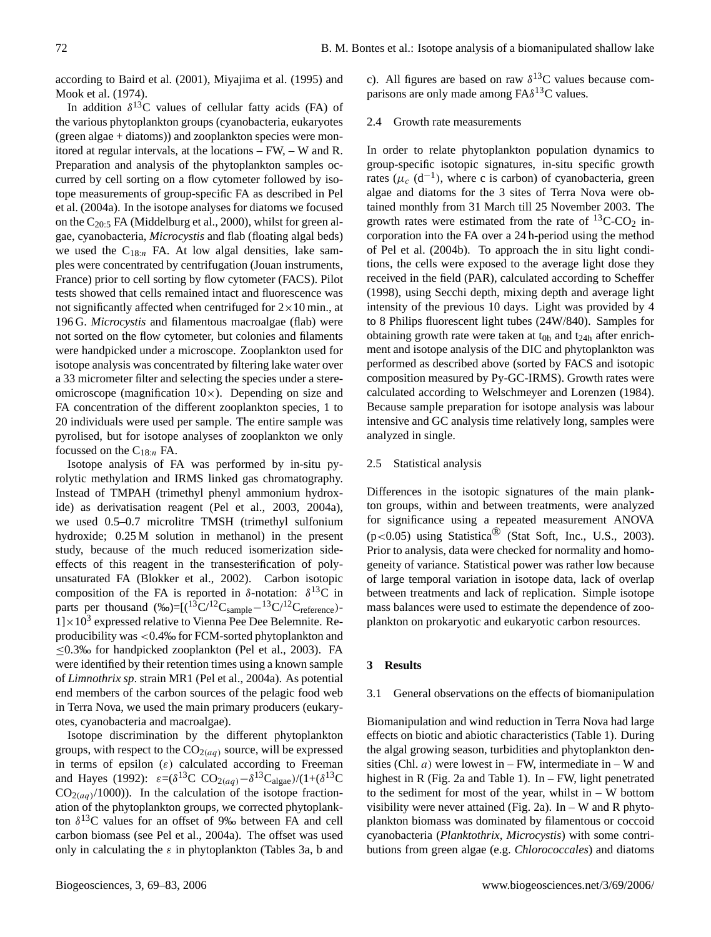according to Baird et al. (2001), Miyajima et al. (1995) and Mook et al. (1974).

In addition  $\delta^{13}$ C values of cellular fatty acids (FA) of the various phytoplankton groups (cyanobacteria, eukaryotes (green algae + diatoms)) and zooplankton species were monitored at regular intervals, at the locations – FW, – W and R. Preparation and analysis of the phytoplankton samples occurred by cell sorting on a flow cytometer followed by isotope measurements of group-specific FA as described in Pel et al. (2004a). In the isotope analyses for diatoms we focused on the C20:<sup>5</sup> FA (Middelburg et al., 2000), whilst for green algae, cyanobacteria, *Microcystis* and flab (floating algal beds) we used the  $C_{18:n}$  FA. At low algal densities, lake samples were concentrated by centrifugation (Jouan instruments, France) prior to cell sorting by flow cytometer (FACS). Pilot tests showed that cells remained intact and fluorescence was not significantly affected when centrifuged for  $2 \times 10$  min., at 196 G. *Microcystis* and filamentous macroalgae (flab) were not sorted on the flow cytometer, but colonies and filaments were handpicked under a microscope. Zooplankton used for isotope analysis was concentrated by filtering lake water over a 33 micrometer filter and selecting the species under a stereomicroscope (magnification  $10\times$ ). Depending on size and FA concentration of the different zooplankton species, 1 to 20 individuals were used per sample. The entire sample was pyrolised, but for isotope analyses of zooplankton we only focussed on the  $C_{18:n}$  FA.

Isotope analysis of FA was performed by in-situ pyrolytic methylation and IRMS linked gas chromatography. Instead of TMPAH (trimethyl phenyl ammonium hydroxide) as derivatisation reagent (Pel et al., 2003, 2004a), we used 0.5–0.7 microlitre TMSH (trimethyl sulfonium hydroxide; 0.25 M solution in methanol) in the present study, because of the much reduced isomerization sideeffects of this reagent in the transesterification of polyunsaturated FA (Blokker et al., 2002). Carbon isotopic composition of the FA is reported in  $\delta$ -notation:  $\delta^{13}$ C in parts per thousand  $(\%_0)=[({}^{13}\text{C}/{}^{12}\text{C}_{\text{sample}}-{}^{13}\text{C}/{}^{12}\text{C}_{\text{reference}})$ - $1] \times 10^3$  expressed relative to Vienna Pee Dee Belemnite. Reproducibility was <0.4‰ for FCM-sorted phytoplankton and  $\leq$ 0.3‰ for handpicked zooplankton (Pel et al., 2003). FA were identified by their retention times using a known sample of *Limnothrix sp*. strain MR1 (Pel et al., 2004a). As potential end members of the carbon sources of the pelagic food web in Terra Nova, we used the main primary producers (eukaryotes, cyanobacteria and macroalgae).

Isotope discrimination by the different phytoplankton groups, with respect to the  $CO<sub>2</sub>(aq)$  source, will be expressed in terms of epsilon  $(\varepsilon)$  calculated according to Freeman and Hayes (1992):  $\varepsilon = (\delta^{13}C \ CO_{2(aq)} - \delta^{13}C_{\text{algae}})/(1+(\delta^{13}C))$  $CO<sub>2</sub>(aq)/1000)$ ). In the calculation of the isotope fractionation of the phytoplankton groups, we corrected phytoplankton  $\delta^{13}$ C values for an offset of 9‰ between FA and cell carbon biomass (see Pel et al., 2004a). The offset was used only in calculating the  $\varepsilon$  in phytoplankton (Tables 3a, b and c). All figures are based on raw  $\delta^{13}$ C values because comparisons are only made among  $FA\delta^{13}C$  values.

#### 2.4 Growth rate measurements

In order to relate phytoplankton population dynamics to group-specific isotopic signatures, in-situ specific growth rates ( $\mu_c$  (d<sup>-1</sup>), where c is carbon) of cyanobacteria, green algae and diatoms for the 3 sites of Terra Nova were obtained monthly from 31 March till 25 November 2003. The growth rates were estimated from the rate of  ${}^{13}$ C-CO<sub>2</sub> incorporation into the FA over a 24 h-period using the method of Pel et al. (2004b). To approach the in situ light conditions, the cells were exposed to the average light dose they received in the field (PAR), calculated according to Scheffer (1998), using Secchi depth, mixing depth and average light intensity of the previous 10 days. Light was provided by 4 to 8 Philips fluorescent light tubes (24W/840). Samples for obtaining growth rate were taken at  $t_{0h}$  and  $t_{24h}$  after enrichment and isotope analysis of the DIC and phytoplankton was performed as described above (sorted by FACS and isotopic composition measured by Py-GC-IRMS). Growth rates were calculated according to Welschmeyer and Lorenzen (1984). Because sample preparation for isotope analysis was labour intensive and GC analysis time relatively long, samples were analyzed in single.

#### 2.5 Statistical analysis

Differences in the isotopic signatures of the main plankton groups, within and between treatments, were analyzed for significance using a repeated measurement ANOVA (p<0.05) using Statistica® (Stat Soft, Inc., U.S., 2003). Prior to analysis, data were checked for normality and homogeneity of variance. Statistical power was rather low because of large temporal variation in isotope data, lack of overlap between treatments and lack of replication. Simple isotope mass balances were used to estimate the dependence of zooplankton on prokaryotic and eukaryotic carbon resources.

#### **3 Results**

## 3.1 General observations on the effects of biomanipulation

Biomanipulation and wind reduction in Terra Nova had large effects on biotic and abiotic characteristics (Table 1). During the algal growing season, turbidities and phytoplankton densities (Chl.  $a$ ) were lowest in – FW, intermediate in – W and highest in R (Fig. 2a and Table 1). In – FW, light penetrated to the sediment for most of the year, whilst in – W bottom visibility were never attained (Fig. 2a). In  $-$  W and R phytoplankton biomass was dominated by filamentous or coccoid cyanobacteria (*Planktothrix*, *Microcystis*) with some contributions from green algae (e.g. *Chlorococcales*) and diatoms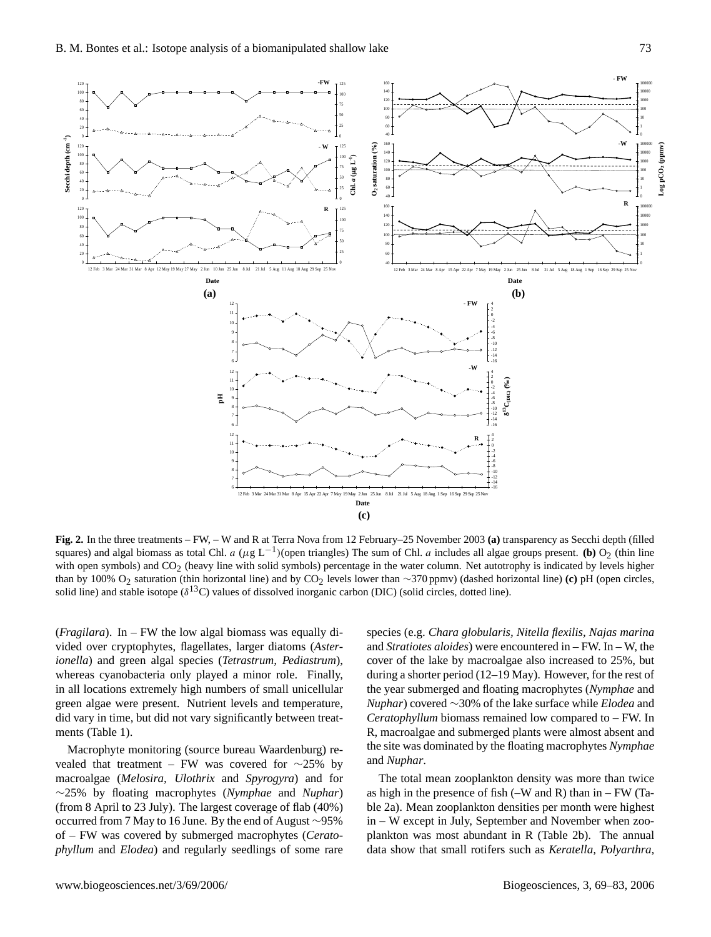

**Fig. 2.** In the three treatments – FW, – W and R at Terra Nova from 12 February–25 November 2003 **(a)** transparency as Secchi depth (filled squares) and algal biomass as total Chl. a  $(\mu g L^{-1})($ open triangles) The sum of Chl. a includes all algae groups present. **(b)** O<sub>2</sub> (thin line with open symbols) and CO<sub>2</sub> (heavy line with solid symbols) percentage in the water column. Net autotrophy is indicated by levels higher than by 100% O<sup>2</sup> saturation (thin horizontal line) and by CO<sup>2</sup> levels lower than ∼370 ppmv) (dashed horizontal line) **(c)** pH (open circles, solid line) and stable isotope ( $\delta^{13}$ C) values of dissolved inorganic carbon (DIC) (solid circles, dotted line).

(*Fragilara*). In – FW the low algal biomass was equally divided over cryptophytes, flagellates, larger diatoms (*Asterionella*) and green algal species (*Tetrastrum, Pediastrum*), whereas cyanobacteria only played a minor role. Finally, in all locations extremely high numbers of small unicellular green algae were present. Nutrient levels and temperature, did vary in time, but did not vary significantly between treatments (Table 1).

Macrophyte monitoring (source bureau Waardenburg) revealed that treatment – FW was covered for ∼25% by macroalgae (*Melosira, Ulothrix* and *Spyrogyra*) and for ∼25% by floating macrophytes (*Nymphae* and *Nuphar*) (from 8 April to 23 July). The largest coverage of flab (40%) occurred from 7 May to 16 June. By the end of August ∼95% of – FW was covered by submerged macrophytes (*Ceratophyllum* and *Elodea*) and regularly seedlings of some rare species (e.g. *Chara globularis, Nitella flexilis*, *Najas marina* and *Stratiotes aloides*) were encountered in – FW. In – W, the cover of the lake by macroalgae also increased to 25%, but during a shorter period (12–19 May). However, for the rest of the year submerged and floating macrophytes (*Nymphae* and *Nuphar*) covered ∼30% of the lake surface while *Elodea* and *Ceratophyllum* biomass remained low compared to – FW. In R, macroalgae and submerged plants were almost absent and the site was dominated by the floating macrophytes *Nymphae* and *Nuphar*.

The total mean zooplankton density was more than twice as high in the presence of fish  $(-W \text{ and } R)$  than in  $-FW$  (Table 2a). Mean zooplankton densities per month were highest in – W except in July, September and November when zooplankton was most abundant in R (Table 2b). The annual data show that small rotifers such as *Keratella, Polyarthra,*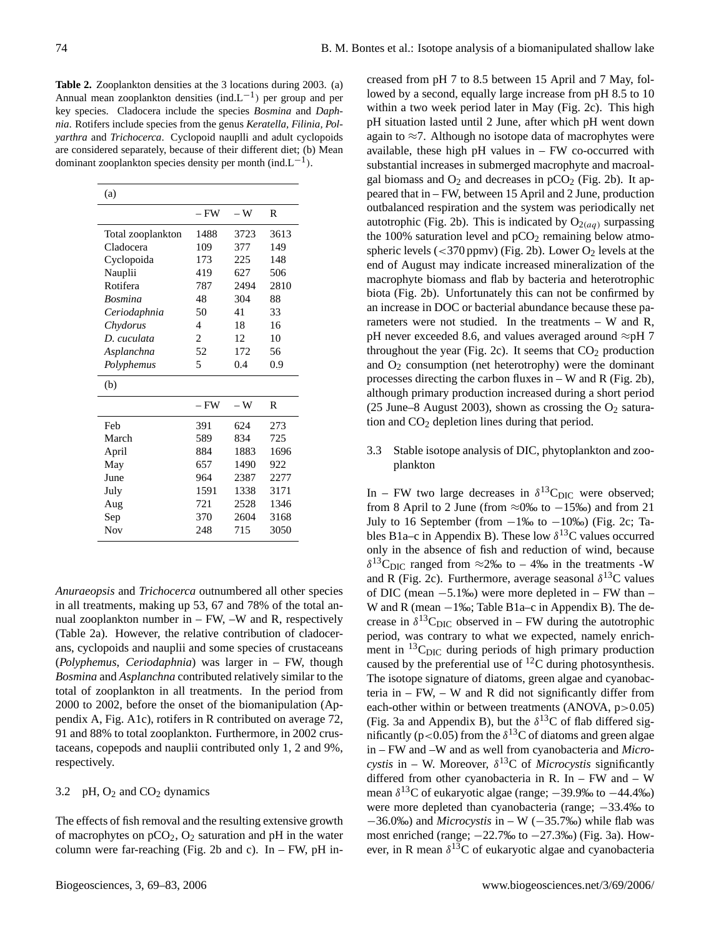**Table 2.** Zooplankton densities at the 3 locations during 2003. (a) Annual mean zooplankton densities (ind. $L^{-1}$ ) per group and per key species. Cladocera include the species *Bosmina* and *Daphnia*. Rotifers include species from the genus *Keratella, Filinia, Polyarthra* and *Trichocerca*. Cyclopoid nauplli and adult cyclopoids are considered separately, because of their different diet; (b) Mean dominant zooplankton species density per month (ind. $L^{-1}$ ).

| (a)               |                |      |      |
|-------------------|----------------|------|------|
|                   | – FW           | – W  | R    |
| Total zooplankton | 1488           | 3723 | 3613 |
| Cladocera         | 109            | 377  | 149  |
| Cyclopoida        | 173            | 225  | 148  |
| Nauplii           | 419            | 627  | 506  |
| Rotifera          | 787            | 2494 | 2810 |
| <b>Bosmina</b>    | 48             | 304  | 88   |
| Ceriodaphnia      | 50             | 41   | 33   |
| Chydorus          | 4              | 18   | 16   |
| D. cuculata       | $\overline{c}$ | 12   | 10   |
| Asplanchna        | 52             | 172  | 56   |
| Polyphemus        | 5              | 0.4  | 0.9  |
| (b)               |                |      |      |
|                   |                |      |      |
|                   | – FW           | – W  | R    |
| Feb               | 391            | 624  | 273  |
| March             | 589            | 834  | 725  |
| April             | 884            | 1883 | 1696 |
| May               | 657            | 1490 | 922  |
| June              | 964            | 2387 | 2277 |
| July              | 1591           | 1338 | 3171 |
| Aug               | 721            | 2528 | 1346 |
| Sep               | 370            | 2604 | 3168 |
| <b>Nov</b>        | 248            | 715  | 3050 |

*Anuraeopsis* and *Trichocerca* outnumbered all other species in all treatments, making up 53, 67 and 78% of the total annual zooplankton number in  $-$  FW,  $-W$  and R, respectively (Table 2a). However, the relative contribution of cladocerans, cyclopoids and nauplii and some species of crustaceans (*Polyphemus*, *Ceriodaphnia*) was larger in – FW, though *Bosmina* and *Asplanchna* contributed relatively similar to the total of zooplankton in all treatments. In the period from 2000 to 2002, before the onset of the biomanipulation (Appendix A, Fig. A1c), rotifers in R contributed on average 72, 91 and 88% to total zooplankton. Furthermore, in 2002 crustaceans, copepods and nauplii contributed only 1, 2 and 9%, respectively.

# 3.2 pH,  $O_2$  and  $CO_2$  dynamics

The effects of fish removal and the resulting extensive growth of macrophytes on  $pCO<sub>2</sub>$ ,  $O<sub>2</sub>$  saturation and pH in the water column were far-reaching (Fig. 2b and c). In – FW, pH increased from pH 7 to 8.5 between 15 April and 7 May, followed by a second, equally large increase from pH 8.5 to 10 within a two week period later in May (Fig. 2c). This high pH situation lasted until 2 June, after which pH went down again to  $\approx$ 7. Although no isotope data of macrophytes were available, these high  $pH$  values in  $- FW$  co-occurred with substantial increases in submerged macrophyte and macroalgal biomass and  $O_2$  and decreases in  $pCO_2$  (Fig. 2b). It appeared that in – FW, between 15 April and 2 June, production outbalanced respiration and the system was periodically net autotrophic (Fig. 2b). This is indicated by  $O_{2(aq)}$  surpassing the 100% saturation level and  $pCO<sub>2</sub>$  remaining below atmospheric levels ( $\langle$ 370 ppmv) (Fig. 2b). Lower O<sub>2</sub> levels at the end of August may indicate increased mineralization of the macrophyte biomass and flab by bacteria and heterotrophic biota (Fig. 2b). Unfortunately this can not be confirmed by an increase in DOC or bacterial abundance because these parameters were not studied. In the treatments  $-$  W and R, pH never exceeded 8.6, and values averaged around  $\approx$ pH 7 throughout the year (Fig. 2c). It seems that  $CO<sub>2</sub>$  production and  $O_2$  consumption (net heterotrophy) were the dominant processes directing the carbon fluxes in – W and R (Fig. 2b), although primary production increased during a short period (25 June–8 August 2003), shown as crossing the  $O_2$  saturation and CO<sub>2</sub> depletion lines during that period.

# 3.3 Stable isotope analysis of DIC, phytoplankton and zooplankton

In – FW two large decreases in  $\delta^{13}C_{\text{DIC}}$  were observed; from 8 April to 2 June (from  $\approx 0\%$  to  $-15\%$ ) and from 21 July to 16 September (from  $-1\%$  to  $-10\%$ ) (Fig. 2c; Tables B1a–c in Appendix B). These low  $\delta^{13}$ C values occurred only in the absence of fish and reduction of wind, because  $\delta^{13}$ C<sub>DIC</sub> ranged from  $\approx$ 2‰ to – 4‰ in the treatments -W and R (Fig. 2c). Furthermore, average seasonal  $\delta^{13}$ C values of DIC (mean −5.1‰) were more depleted in – FW than – W and R (mean  $-1\%$ ); Table B1a–c in Appendix B). The decrease in  $\delta^{13}C_{\text{DIC}}$  observed in – FW during the autotrophic period, was contrary to what we expected, namely enrichment in  ${}^{13}$ C<sub>DIC</sub> during periods of high primary production caused by the preferential use of  ${}^{12}C$  during photosynthesis. The isotope signature of diatoms, green algae and cyanobacteria in  $-$  FW,  $-$  W and R did not significantly differ from each-other within or between treatments  $(ANOVA, p>0.05)$ (Fig. 3a and Appendix B), but the  $\delta^{13}$ C of flab differed significantly (p<0.05) from the  $\delta^{13}$ C of diatoms and green algae in – FW and –W and as well from cyanobacteria and *Microcystis* in – W. Moreover,  $\delta^{13}$ C of *Microcystis* significantly differed from other cyanobacteria in R. In – FW and – W mean  $\delta^{13}$ C of eukaryotic algae (range;  $-39.9%$  to  $-44.4%$ ) were more depleted than cyanobacteria (range;  $-33.4%$  to  $-36.0\%$ ) and *Microcystis* in – W ( $-35.7\%$ ) while flab was most enriched (range; −22.7‰ to −27.3‰) (Fig. 3a). However, in R mean  $\delta^{13}$ C of eukaryotic algae and cyanobacteria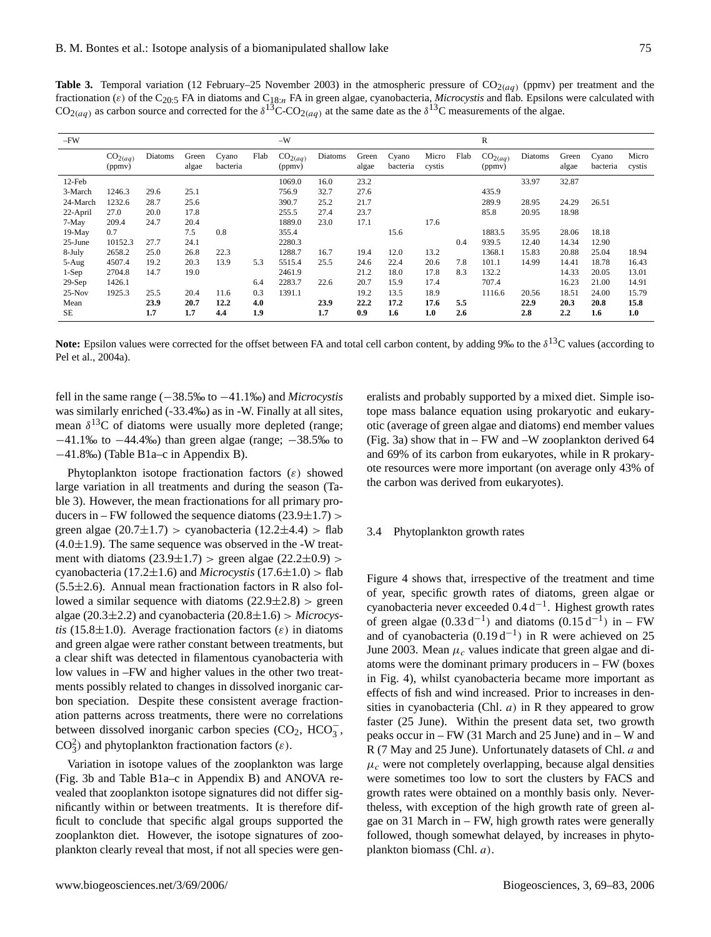**Table 3.** Temporal variation (12 February–25 November 2003) in the atmospheric pressure of  $CO_{2(aq)}$  (ppmv) per treatment and the fractionation (ε) of the C<sub>20:5</sub> FA in diatoms and C<sub>18:n</sub> FA in green algae, cyanobacteria, *Microcystis* and flab. Epsilons were calculated with  $CO_{2(aq)}$  as carbon source and corrected for the  $\delta^{13}$ C-CO<sub>2(aq)</sub> at the same date as the  $\delta^{13}$ C measurements of the algae.

| $-FW$     |                                |         |                |                   |      | $-W$                           |         |                |                   |                 |      | $\mathbb R$                    |         |                |                   |                 |
|-----------|--------------------------------|---------|----------------|-------------------|------|--------------------------------|---------|----------------|-------------------|-----------------|------|--------------------------------|---------|----------------|-------------------|-----------------|
|           | CO <sub>2</sub> (aq)<br>(ppmv) | Diatoms | Green<br>algae | Cyano<br>bacteria | Flab | CO <sub>2</sub> (aq)<br>(ppmv) | Diatoms | Green<br>algae | Cyano<br>bacteria | Micro<br>cystis | Flab | CO <sub>2</sub> (aq)<br>(ppmv) | Diatoms | Green<br>algae | Cyano<br>bacteria | Micro<br>cystis |
| $12$ -Feb |                                |         |                |                   |      | 1069.0                         | 16.0    | 23.2           |                   |                 |      |                                | 33.97   | 32.87          |                   |                 |
| 3-March   | 1246.3                         | 29.6    | 25.1           |                   |      | 756.9                          | 32.7    | 27.6           |                   |                 |      | 435.9                          |         |                |                   |                 |
| 24-March  | 1232.6                         | 28.7    | 25.6           |                   |      | 390.7                          | 25.2    | 21.7           |                   |                 |      | 289.9                          | 28.95   | 24.29          | 26.51             |                 |
| 22-April  | 27.0                           | 20.0    | 17.8           |                   |      | 255.5                          | 27.4    | 23.7           |                   |                 |      | 85.8                           | 20.95   | 18.98          |                   |                 |
| 7-May     | 209.4                          | 24.7    | 20.4           |                   |      | 1889.0                         | 23.0    | 17.1           |                   | 17.6            |      |                                |         |                |                   |                 |
| 19-May    | 0.7                            |         | 7.5            | 0.8               |      | 355.4                          |         |                | 15.6              |                 |      | 1883.5                         | 35.95   | 28.06          | 18.18             |                 |
| 25-June   | 10152.3                        | 27.7    | 24.1           |                   |      | 2280.3                         |         |                |                   |                 | 0.4  | 939.5                          | 12.40   | 14.34          | 12.90             |                 |
| 8-July    | 2658.2                         | 25.0    | 26.8           | 22.3              |      | 1288.7                         | 16.7    | 19.4           | 12.0              | 13.2            |      | 1368.1                         | 15.83   | 20.88          | 25.04             | 18.94           |
| 5-Aug     | 4507.4                         | 19.2    | 20.3           | 13.9              | 5.3  | 5515.4                         | 25.5    | 24.6           | 22.4              | 20.6            | 7.8  | 101.1                          | 14.99   | 14.41          | 18.78             | 16.43           |
| $1-Sep$   | 2704.8                         | 14.7    | 19.0           |                   |      | 2461.9                         |         | 21.2           | 18.0              | 17.8            | 8.3  | 132.2                          |         | 14.33          | 20.05             | 13.01           |
| $29-Sep$  | 1426.1                         |         |                |                   | 6.4  | 2283.7                         | 22.6    | 20.7           | 15.9              | 17.4            |      | 707.4                          |         | 16.23          | 21.00             | 14.91           |
| $25-Nov$  | 1925.3                         | 25.5    | 20.4           | 11.6              | 0.3  | 1391.1                         |         | 19.2           | 13.5              | 18.9            |      | 1116.6                         | 20.56   | 18.51          | 24.00             | 15.79           |
| Mean      |                                | 23.9    | 20.7           | 12.2              | 4.0  |                                | 23.9    | 22.2           | 17.2              | 17.6            | 5.5  |                                | 22.9    | 20.3           | 20.8              | 15.8            |
| <b>SE</b> |                                | 1.7     | 1.7            | 4.4               | 1.9  |                                | 1.7     | 0.9            | 1.6               | 1.0             | 2.6  |                                | 2.8     | 2.2            | 1.6               | 1.0             |

Note: Epsilon values were corrected for the offset between FA and total cell carbon content, by adding 9‰ to the δ<sup>13</sup>C values (according to Pel et al., 2004a).

fell in the same range (−38.5‰ to −41.1‰) and *Microcystis* was similarly enriched (-33.4‰) as in -W. Finally at all sites, mean  $\delta^{13}$ C of diatoms were usually more depleted (range; −41.1‰ to −44.4‰) than green algae (range; −38.5‰ to −41.8‰) (Table B1a–c in Appendix B).

Phytoplankton isotope fractionation factors  $(\varepsilon)$  showed large variation in all treatments and during the season (Table 3). However, the mean fractionations for all primary producers in – FW followed the sequence diatoms  $(23.9 \pm 1.7)$  > green algae  $(20.7\pm1.7)$  > cyanobacteria  $(12.2\pm4.4)$  > flab  $(4.0 \pm 1.9)$ . The same sequence was observed in the -W treatment with diatoms  $(23.9 \pm 1.7)$  > green algae  $(22.2 \pm 0.9)$  > cyanobacteria (17.2±1.6) and *Microcystis* (17.6±1.0) > flab  $(5.5\pm2.6)$ . Annual mean fractionation factors in R also followed a similar sequence with diatoms  $(22.9 \pm 2.8)$  > green algae (20.3±2.2) and cyanobacteria (20.8±1.6) > *Microcystis* (15.8 $\pm$ 1.0). Average fractionation factors ( $\varepsilon$ ) in diatoms and green algae were rather constant between treatments, but a clear shift was detected in filamentous cyanobacteria with low values in –FW and higher values in the other two treatments possibly related to changes in dissolved inorganic carbon speciation. Despite these consistent average fractionation patterns across treatments, there were no correlations between dissolved inorganic carbon species  $(CO_2, HCO_3^-)$ CO<sub>3</sub><sup>2</sup>) and phytoplankton fractionation factors ( $\varepsilon$ ).

Variation in isotope values of the zooplankton was large (Fig. 3b and Table B1a–c in Appendix B) and ANOVA revealed that zooplankton isotope signatures did not differ significantly within or between treatments. It is therefore difficult to conclude that specific algal groups supported the zooplankton diet. However, the isotope signatures of zooplankton clearly reveal that most, if not all species were generalists and probably supported by a mixed diet. Simple isotope mass balance equation using prokaryotic and eukaryotic (average of green algae and diatoms) end member values (Fig. 3a) show that in – FW and –W zooplankton derived 64 and 69% of its carbon from eukaryotes, while in R prokaryote resources were more important (on average only 43% of the carbon was derived from eukaryotes).

#### 3.4 Phytoplankton growth rates

Figure 4 shows that, irrespective of the treatment and time of year, specific growth rates of diatoms, green algae or cyanobacteria never exceeded 0.4 d−<sup>1</sup> . Highest growth rates of green algae  $(0.33 d<sup>-1</sup>)$  and diatoms  $(0.15 d<sup>-1</sup>)$  in – FW and of cyanobacteria  $(0.19 d^{-1})$  in R were achieved on 25 June 2003. Mean  $\mu_c$  values indicate that green algae and diatoms were the dominant primary producers in – FW (boxes in Fig. 4), whilst cyanobacteria became more important as effects of fish and wind increased. Prior to increases in densities in cyanobacteria (Chl.  $a$ ) in R they appeared to grow faster (25 June). Within the present data set, two growth peaks occur in – FW (31 March and 25 June) and in – W and R (7 May and 25 June). Unfortunately datasets of Chl. a and  $\mu_c$  were not completely overlapping, because algal densities were sometimes too low to sort the clusters by FACS and growth rates were obtained on a monthly basis only. Nevertheless, with exception of the high growth rate of green algae on 31 March in – FW, high growth rates were generally followed, though somewhat delayed, by increases in phytoplankton biomass (Chl. a).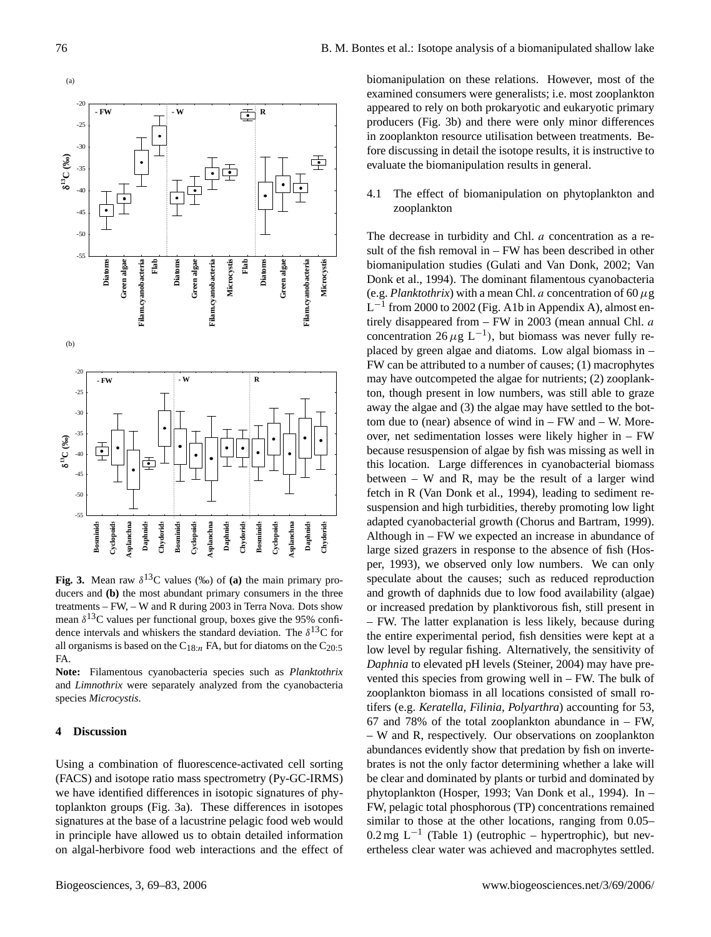

Fig. 3. Mean raw  $\delta^{13}$ C values (‰) of (a) the main primary producers and **(b)** the most abundant primary consumers in the three treatments – FW, – W and R during 2003 in Terra Nova. Dots show mean  $\delta^{13}$ C values per functional group, boxes give the 95% confidence intervals and whiskers the standard deviation. The  $\delta^{13}C$  for all organisms is based on the  $C_{18:n}$  FA, but for diatoms on the  $C_{20:5}$ FA.

**Note:** Filamentous cyanobacteria species such as *Planktothrix* and *Limnothrix* were separately analyzed from the cyanobacteria species *Microcystis*.

# **4 Discussion**

Using a combination of fluorescence-activated cell sorting (FACS) and isotope ratio mass spectrometry (Py-GC-IRMS) we have identified differences in isotopic signatures of phytoplankton groups (Fig. 3a). These differences in isotopes signatures at the base of a lacustrine pelagic food web would in principle have allowed us to obtain detailed information on algal-herbivore food web interactions and the effect of biomanipulation on these relations. However, most of the examined consumers were generalists; i.e. most zooplankton appeared to rely on both prokaryotic and eukaryotic primary producers (Fig. 3b) and there were only minor differences in zooplankton resource utilisation between treatments. Before discussing in detail the isotope results, it is instructive to evaluate the biomanipulation results in general.

4.1 The effect of biomanipulation on phytoplankton and zooplankton

The decrease in turbidity and Chl. *a* concentration as a result of the fish removal in – FW has been described in other biomanipulation studies (Gulati and Van Donk, 2002; Van Donk et al., 1994). The dominant filamentous cyanobacteria (e.g. *Planktothrix*) with a mean Chl. *a* concentration of 60  $\mu$ g  $L^{-1}$  from 2000 to 2002 (Fig. A1b in Appendix A), almost entirely disappeared from - FW in 2003 (mean annual Chl. a concentration  $26 \mu g L^{-1}$ ), but biomass was never fully replaced by green algae and diatoms. Low algal biomass in – FW can be attributed to a number of causes; (1) macrophytes may have outcompeted the algae for nutrients; (2) zooplankton, though present in low numbers, was still able to graze away the algae and (3) the algae may have settled to the bottom due to (near) absence of wind  $in - FW$  and  $- W$ . Moreover, net sedimentation losses were likely higher in – FW because resuspension of algae by fish was missing as well in this location. Large differences in cyanobacterial biomass between – W and R, may be the result of a larger wind fetch in R (Van Donk et al., 1994), leading to sediment resuspension and high turbidities, thereby promoting low light adapted cyanobacterial growth (Chorus and Bartram, 1999). Although in – FW we expected an increase in abundance of large sized grazers in response to the absence of fish (Hosper, 1993), we observed only low numbers. We can only speculate about the causes; such as reduced reproduction and growth of daphnids due to low food availability (algae) or increased predation by planktivorous fish, still present in – FW. The latter explanation is less likely, because during the entire experimental period, fish densities were kept at a low level by regular fishing. Alternatively, the sensitivity of *Daphnia* to elevated pH levels (Steiner, 2004) may have prevented this species from growing well in – FW. The bulk of zooplankton biomass in all locations consisted of small rotifers (e.g. *Keratella, Filinia, Polyarthra*) accounting for 53, 67 and 78% of the total zooplankton abundance in – FW, – W and R, respectively. Our observations on zooplankton abundances evidently show that predation by fish on invertebrates is not the only factor determining whether a lake will be clear and dominated by plants or turbid and dominated by phytoplankton (Hosper, 1993; Van Donk et al., 1994). In – FW, pelagic total phosphorous (TP) concentrations remained similar to those at the other locations, ranging from 0.05–  $0.2$  mg L<sup>-1</sup> (Table 1) (eutrophic – hypertrophic), but nevertheless clear water was achieved and macrophytes settled.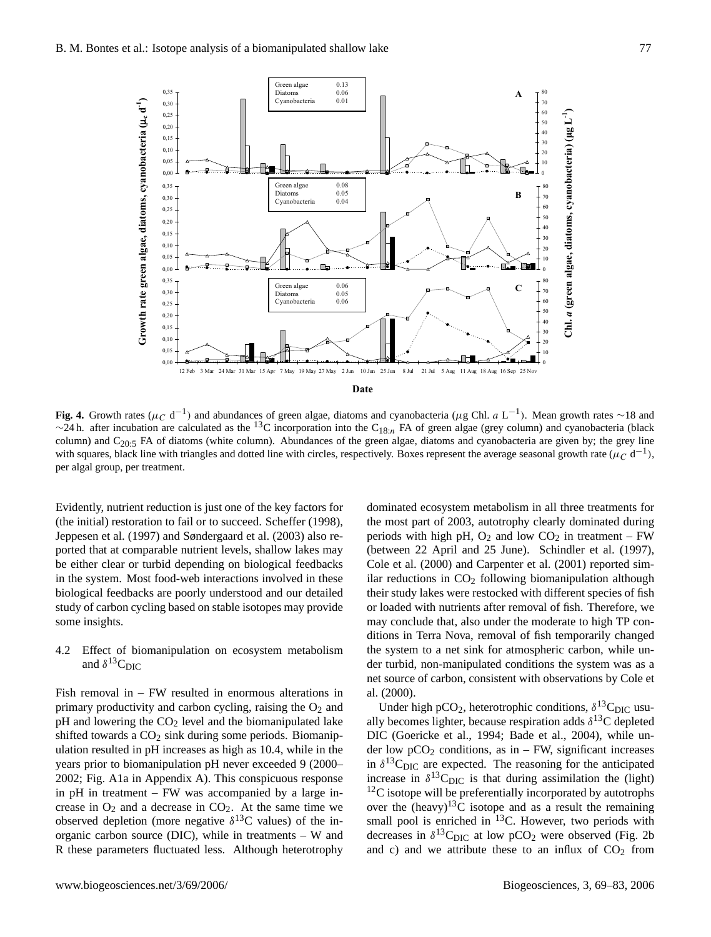

**Fig. 4.** Growth rates ( $\mu$ <sub>C</sub> d<sup>-1</sup>) and abundances of green algae, diatoms and cyanobacteria ( $\mu$ g Chl. *a* L<sup>-1</sup>). Mean growth rates ∼18 and ~24 h. after incubation are calculated as the <sup>13</sup>C incorporation into the C<sub>18:n</sub> FA of green algae (grey column) and cyanobacteria (black column) and  $C_{20:5}$  FA of diatoms (white column). Abundances of the green algae, diatoms and cyanobacteria are given by; the grey line with squares, black line with triangles and dotted line with circles, respectively. Boxes represent the average seasonal growth rate ( $\mu_C$  d<sup>-1</sup>), per algal group, per treatment.

Evidently, nutrient reduction is just one of the key factors for (the initial) restoration to fail or to succeed. Scheffer (1998), Jeppesen et al. (1997) and Søndergaard et al. (2003) also reported that at comparable nutrient levels, shallow lakes may be either clear or turbid depending on biological feedbacks in the system. Most food-web interactions involved in these biological feedbacks are poorly understood and our detailed study of carbon cycling based on stable isotopes may provide some insights.

4.2 Effect of biomanipulation on ecosystem metabolism and  $\delta^{13}C_{\text{DIC}}$ 

Fish removal in – FW resulted in enormous alterations in primary productivity and carbon cycling, raising the  $O_2$  and  $pH$  and lowering the  $CO<sub>2</sub>$  level and the biomanipulated lake shifted towards a  $CO<sub>2</sub>$  sink during some periods. Biomanipulation resulted in pH increases as high as 10.4, while in the years prior to biomanipulation pH never exceeded 9 (2000– 2002; Fig. A1a in Appendix A). This conspicuous response in pH in treatment – FW was accompanied by a large increase in  $O_2$  and a decrease in  $CO_2$ . At the same time we observed depletion (more negative  $\delta^{13}$ C values) of the inorganic carbon source (DIC), while in treatments – W and R these parameters fluctuated less. Although heterotrophy

dominated ecosystem metabolism in all three treatments for the most part of 2003, autotrophy clearly dominated during periods with high pH,  $O_2$  and low  $CO_2$  in treatment – FW (between 22 April and 25 June). Schindler et al. (1997), Cole et al. (2000) and Carpenter et al. (2001) reported similar reductions in  $CO<sub>2</sub>$  following biomanipulation although their study lakes were restocked with different species of fish or loaded with nutrients after removal of fish. Therefore, we may conclude that, also under the moderate to high TP conditions in Terra Nova, removal of fish temporarily changed the system to a net sink for atmospheric carbon, while under turbid, non-manipulated conditions the system was as a net source of carbon, consistent with observations by Cole et al. (2000).

Under high pCO<sub>2</sub>, heterotrophic conditions,  $\delta^{13}C_{\text{DIC}}$  usually becomes lighter, because respiration adds  $\delta^{13}$ C depleted DIC (Goericke et al., 1994; Bade et al., 2004), while under low  $pCO<sub>2</sub>$  conditions, as in – FW, significant increases in  $\delta^{13}$ C<sub>DIC</sub> are expected. The reasoning for the anticipated increase in  $\delta^{13}C_{\text{DIC}}$  is that during assimilation the (light)  $12<sup>12</sup>C$  isotope will be preferentially incorporated by autotrophs over the (heavy)<sup>13</sup>C isotope and as a result the remaining small pool is enriched in  $^{13}$ C. However, two periods with decreases in  $\delta^{13}$ C<sub>DIC</sub> at low pCO<sub>2</sub> were observed (Fig. 2b) and c) and we attribute these to an influx of  $CO<sub>2</sub>$  from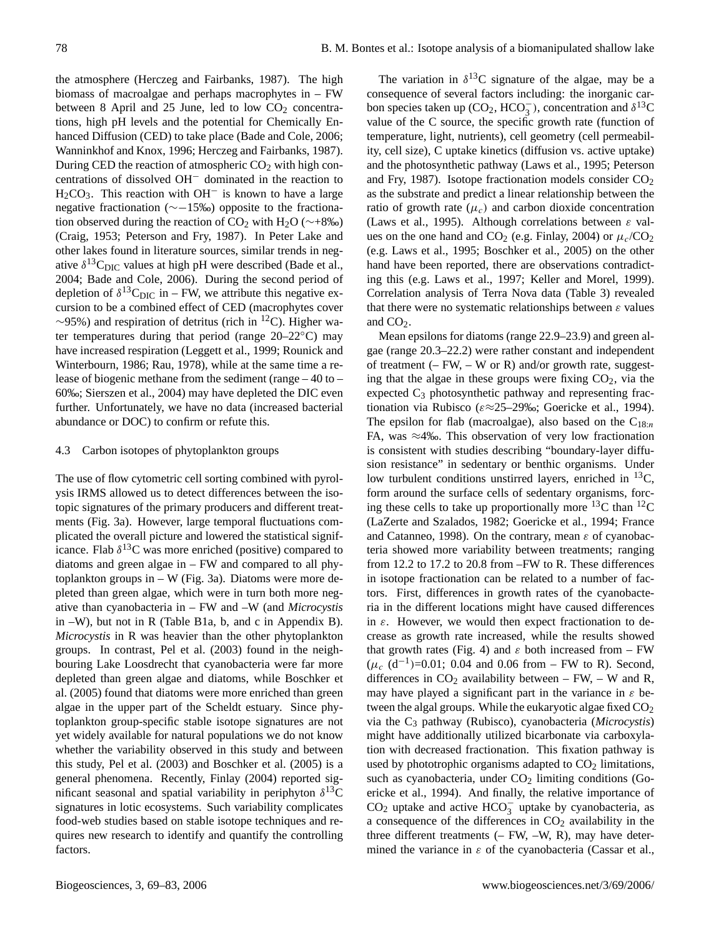the atmosphere (Herczeg and Fairbanks, 1987). The high biomass of macroalgae and perhaps macrophytes in – FW between 8 April and 25 June, led to low  $CO<sub>2</sub>$  concentrations, high pH levels and the potential for Chemically Enhanced Diffusion (CED) to take place (Bade and Cole, 2006; Wanninkhof and Knox, 1996; Herczeg and Fairbanks, 1987). During CED the reaction of atmospheric  $CO<sub>2</sub>$  with high concentrations of dissolved OH<sup>−</sup> dominated in the reaction to  $H<sub>2</sub>CO<sub>3</sub>$ . This reaction with OH<sup>-</sup> is known to have a large negative fractionation (∼−15‰) opposite to the fractionation observed during the reaction of CO<sub>2</sub> with H<sub>2</sub>O ( $\sim$ +8‰) (Craig, 1953; Peterson and Fry, 1987). In Peter Lake and other lakes found in literature sources, similar trends in negative  $\delta^{13}C_{\text{DIC}}$  values at high pH were described (Bade et al., 2004; Bade and Cole, 2006). During the second period of depletion of  $\delta^{13}C_{\text{DIC}}$  in – FW, we attribute this negative excursion to be a combined effect of CED (macrophytes cover  $\sim$ 95%) and respiration of detritus (rich in <sup>12</sup>C). Higher water temperatures during that period (range 20–22◦C) may have increased respiration (Leggett et al., 1999; Rounick and Winterbourn, 1986; Rau, 1978), while at the same time a release of biogenic methane from the sediment (range – 40 to – 60‰; Sierszen et al., 2004) may have depleted the DIC even further. Unfortunately, we have no data (increased bacterial abundance or DOC) to confirm or refute this.

# 4.3 Carbon isotopes of phytoplankton groups

The use of flow cytometric cell sorting combined with pyrolysis IRMS allowed us to detect differences between the isotopic signatures of the primary producers and different treatments (Fig. 3a). However, large temporal fluctuations complicated the overall picture and lowered the statistical significance. Flab  $\delta^{13}$ C was more enriched (positive) compared to diatoms and green algae in – FW and compared to all phytoplankton groups in – W (Fig. 3a). Diatoms were more depleted than green algae, which were in turn both more negative than cyanobacteria in – FW and –W (and *Microcystis* in –W), but not in R (Table B1a, b, and c in Appendix B). *Microcystis* in R was heavier than the other phytoplankton groups. In contrast, Pel et al. (2003) found in the neighbouring Lake Loosdrecht that cyanobacteria were far more depleted than green algae and diatoms, while Boschker et al. (2005) found that diatoms were more enriched than green algae in the upper part of the Scheldt estuary. Since phytoplankton group-specific stable isotope signatures are not yet widely available for natural populations we do not know whether the variability observed in this study and between this study, Pel et al. (2003) and Boschker et al. (2005) is a general phenomena. Recently, Finlay (2004) reported significant seasonal and spatial variability in periphyton  $\delta^{13}$ C signatures in lotic ecosystems. Such variability complicates food-web studies based on stable isotope techniques and requires new research to identify and quantify the controlling factors.

The variation in  $\delta^{13}$ C signature of the algae, may be a consequence of several factors including: the inorganic carbon species taken up ( $CO_2$ , HCO<sub>3</sub>), concentration and  $\delta^{13}$ C value of the C source, the specific growth rate (function of temperature, light, nutrients), cell geometry (cell permeability, cell size), C uptake kinetics (diffusion vs. active uptake) and the photosynthetic pathway (Laws et al., 1995; Peterson and Fry, 1987). Isotope fractionation models consider  $CO<sub>2</sub>$ as the substrate and predict a linear relationship between the ratio of growth rate  $(\mu_c)$  and carbon dioxide concentration (Laws et al., 1995). Although correlations between  $\varepsilon$  values on the one hand and  $CO_2$  (e.g. Finlay, 2004) or  $\mu_c/CO_2$ (e.g. Laws et al., 1995; Boschker et al., 2005) on the other hand have been reported, there are observations contradicting this (e.g. Laws et al., 1997; Keller and Morel, 1999). Correlation analysis of Terra Nova data (Table 3) revealed that there were no systematic relationships between  $\varepsilon$  values and  $CO<sub>2</sub>$ .

Mean epsilons for diatoms (range 22.9–23.9) and green algae (range 20.3–22.2) were rather constant and independent of treatment  $(-FW, -W \text{ or } R)$  and/or growth rate, suggesting that the algae in these groups were fixing  $CO<sub>2</sub>$ , via the expected  $C_3$  photosynthetic pathway and representing fractionation via Rubisco ( $\varepsilon \approx 25-29\%$ ; Goericke et al., 1994). The epsilon for flab (macroalgae), also based on the  $C_{18:n}$ FA, was ≈4‰. This observation of very low fractionation is consistent with studies describing "boundary-layer diffusion resistance" in sedentary or benthic organisms. Under low turbulent conditions unstirred layers, enriched in  $^{13}C$ , form around the surface cells of sedentary organisms, forcing these cells to take up proportionally more  ${}^{13}C$  than  ${}^{12}C$ (LaZerte and Szalados, 1982; Goericke et al., 1994; France and Catanneo, 1998). On the contrary, mean  $\varepsilon$  of cyanobacteria showed more variability between treatments; ranging from 12.2 to 17.2 to 20.8 from –FW to R. These differences in isotope fractionation can be related to a number of factors. First, differences in growth rates of the cyanobacteria in the different locations might have caused differences in  $\varepsilon$ . However, we would then expect fractionation to decrease as growth rate increased, while the results showed that growth rates (Fig. 4) and  $\varepsilon$  both increased from – FW  $(\mu_c \ (d^{-1})$ =0.01; 0.04 and 0.06 from – FW to R). Second, differences in  $CO<sub>2</sub>$  availability between – FW, – W and R, may have played a significant part in the variance in  $\varepsilon$  between the algal groups. While the eukaryotic algae fixed  $CO<sub>2</sub>$ via the C<sup>3</sup> pathway (Rubisco), cyanobacteria (*Microcystis*) might have additionally utilized bicarbonate via carboxylation with decreased fractionation. This fixation pathway is used by phototrophic organisms adapted to  $CO<sub>2</sub>$  limitations, such as cyanobacteria, under  $CO<sub>2</sub>$  limiting conditions (Goericke et al., 1994). And finally, the relative importance of CO<sub>2</sub> uptake and active HCO<sub>3</sub> uptake by cyanobacteria, as a consequence of the differences in  $CO<sub>2</sub>$  availability in the three different treatments (– FW, –W, R), may have determined the variance in  $\varepsilon$  of the cyanobacteria (Cassar et al.,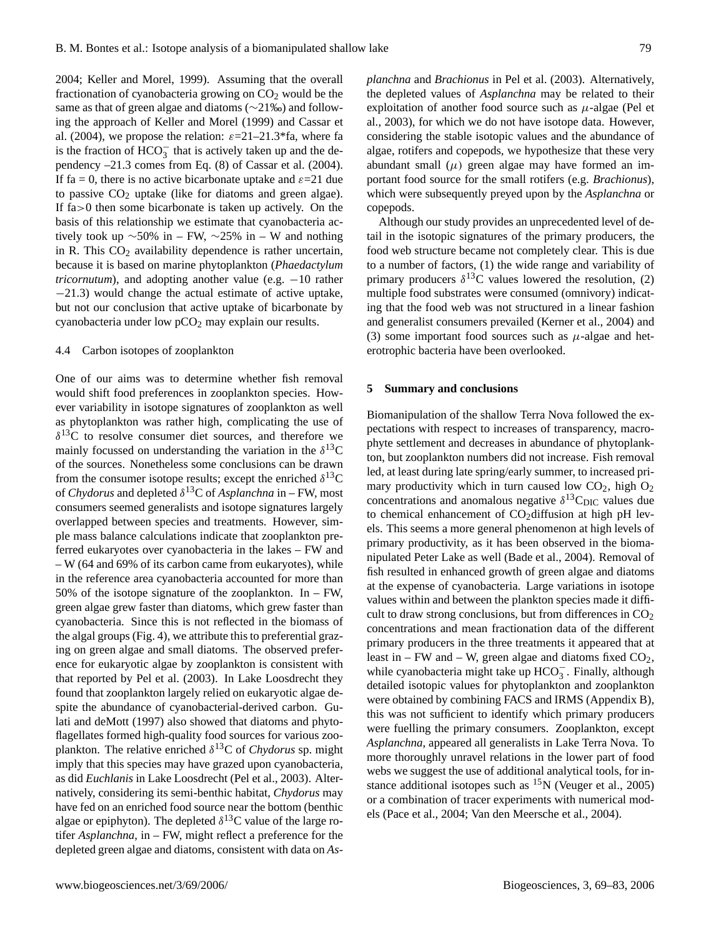2004; Keller and Morel, 1999). Assuming that the overall fractionation of cyanobacteria growing on  $CO<sub>2</sub>$  would be the same as that of green algae and diatoms (∼21‰) and following the approach of Keller and Morel (1999) and Cassar et al. (2004), we propose the relation:  $\varepsilon = 21 - 21.3*$  fa, where fa is the fraction of  $HCO_3^-$  that is actively taken up and the dependency –21.3 comes from Eq. (8) of Cassar et al. (2004). If fa = 0, there is no active bicarbonate uptake and  $\varepsilon$ =21 due to passive  $CO<sub>2</sub>$  uptake (like for diatoms and green algae). If fa>0 then some bicarbonate is taken up actively. On the basis of this relationship we estimate that cyanobacteria actively took up  $\sim$ 50% in – FW,  $\sim$ 25% in – W and nothing in R. This  $CO<sub>2</sub>$  availability dependence is rather uncertain, because it is based on marine phytoplankton (*Phaedactylum tricornutum*), and adopting another value (e.g. −10 rather −21.3) would change the actual estimate of active uptake, but not our conclusion that active uptake of bicarbonate by cyanobacteria under low  $pCO<sub>2</sub>$  may explain our results.

# 4.4 Carbon isotopes of zooplankton

One of our aims was to determine whether fish removal would shift food preferences in zooplankton species. However variability in isotope signatures of zooplankton as well as phytoplankton was rather high, complicating the use of  $\delta^{13}$ C to resolve consumer diet sources, and therefore we mainly focussed on understanding the variation in the  $\delta^{13}$ C of the sources. Nonetheless some conclusions can be drawn from the consumer isotope results; except the enriched  $\delta^{13}$ C of *Chydorus* and depleted δ <sup>13</sup>C of *Asplanchna* in – FW, most consumers seemed generalists and isotope signatures largely overlapped between species and treatments. However, simple mass balance calculations indicate that zooplankton preferred eukaryotes over cyanobacteria in the lakes – FW and – W (64 and 69% of its carbon came from eukaryotes), while in the reference area cyanobacteria accounted for more than 50% of the isotope signature of the zooplankton. In  $-$  FW, green algae grew faster than diatoms, which grew faster than cyanobacteria. Since this is not reflected in the biomass of the algal groups (Fig. 4), we attribute this to preferential grazing on green algae and small diatoms. The observed preference for eukaryotic algae by zooplankton is consistent with that reported by Pel et al. (2003). In Lake Loosdrecht they found that zooplankton largely relied on eukaryotic algae despite the abundance of cyanobacterial-derived carbon. Gulati and deMott (1997) also showed that diatoms and phytoflagellates formed high-quality food sources for various zooplankton. The relative enriched δ <sup>13</sup>C of *Chydorus* sp. might imply that this species may have grazed upon cyanobacteria, as did *Euchlanis* in Lake Loosdrecht (Pel et al., 2003). Alternatively, considering its semi-benthic habitat, *Chydorus* may have fed on an enriched food source near the bottom (benthic algae or epiphyton). The depleted  $\delta^{13}$ C value of the large rotifer *Asplanchna*, in – FW, might reflect a preference for the depleted green algae and diatoms, consistent with data on *As-* *planchna* and *Brachionus* in Pel et al. (2003). Alternatively, the depleted values of *Asplanchna* may be related to their exploitation of another food source such as  $\mu$ -algae (Pel et al., 2003), for which we do not have isotope data. However, considering the stable isotopic values and the abundance of algae, rotifers and copepods, we hypothesize that these very abundant small  $(\mu)$  green algae may have formed an important food source for the small rotifers (e.g. *Brachionus*), which were subsequently preyed upon by the *Asplanchna* or copepods.

Although our study provides an unprecedented level of detail in the isotopic signatures of the primary producers, the food web structure became not completely clear. This is due to a number of factors, (1) the wide range and variability of primary producers  $\delta^{13}$ C values lowered the resolution, (2) multiple food substrates were consumed (omnivory) indicating that the food web was not structured in a linear fashion and generalist consumers prevailed (Kerner et al., 2004) and (3) some important food sources such as  $\mu$ -algae and heterotrophic bacteria have been overlooked.

#### **5 Summary and conclusions**

Biomanipulation of the shallow Terra Nova followed the expectations with respect to increases of transparency, macrophyte settlement and decreases in abundance of phytoplankton, but zooplankton numbers did not increase. Fish removal led, at least during late spring/early summer, to increased primary productivity which in turn caused low  $CO<sub>2</sub>$ , high  $O<sub>2</sub>$ concentrations and anomalous negative  $\delta^{13}C_{\text{DIC}}$  values due to chemical enhancement of  $CO<sub>2</sub>$ diffusion at high pH levels. This seems a more general phenomenon at high levels of primary productivity, as it has been observed in the biomanipulated Peter Lake as well (Bade et al., 2004). Removal of fish resulted in enhanced growth of green algae and diatoms at the expense of cyanobacteria. Large variations in isotope values within and between the plankton species made it difficult to draw strong conclusions, but from differences in  $CO<sub>2</sub>$ concentrations and mean fractionation data of the different primary producers in the three treatments it appeared that at least in – FW and – W, green algae and diatoms fixed  $CO<sub>2</sub>$ , while cyanobacteria might take up HCO<sub>3</sub>. Finally, although detailed isotopic values for phytoplankton and zooplankton were obtained by combining FACS and IRMS (Appendix B), this was not sufficient to identify which primary producers were fuelling the primary consumers. Zooplankton, except *Asplanchna*, appeared all generalists in Lake Terra Nova. To more thoroughly unravel relations in the lower part of food webs we suggest the use of additional analytical tools, for instance additional isotopes such as  ${}^{15}N$  (Veuger et al., 2005) or a combination of tracer experiments with numerical models (Pace et al., 2004; Van den Meersche et al., 2004).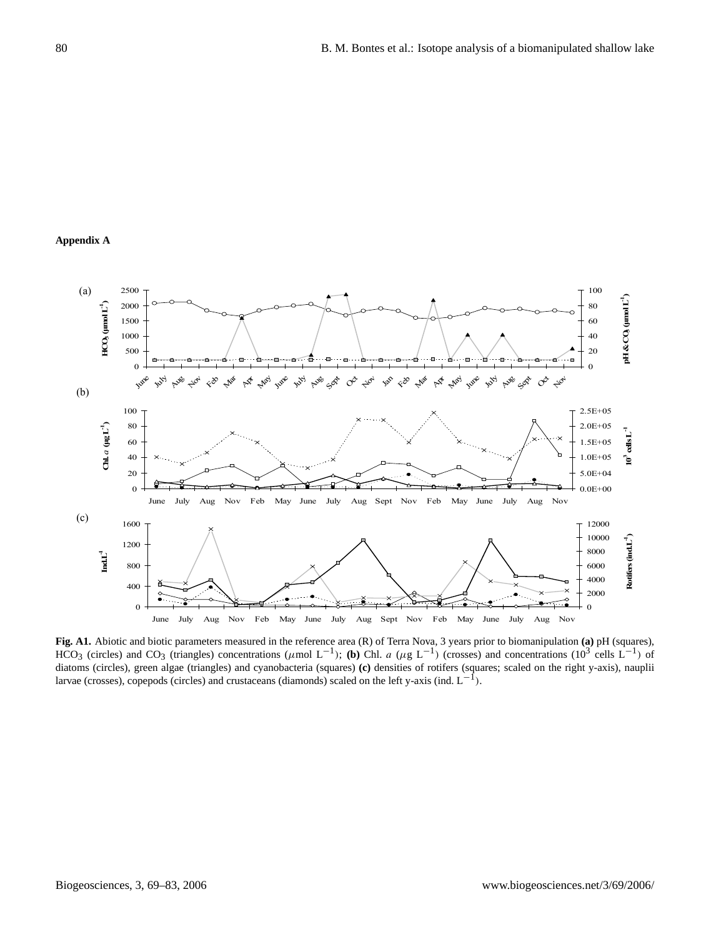#### **Appendix A** of diatoms (triangles) and cyanobacteria (squares) (c) densities of rotifications of rotifications (squares; scaled on the right y-axis), scaled on the right y-axis), scaled on the right y-axis),  $\alpha$



**Fig. A1.** Abiotic and biotic parameters measured in the reference area (R) of Terra Nova, 3 years prior to biomanipulation **(a)** pH (squares), HCO<sub>3</sub> (circles) and CO<sub>3</sub> (triangles) concentrations ( $\mu$ mol L<sup>-1</sup>); **(b)** Chl. a ( $\mu$ g L<sup>-1</sup>) (crosses) and concentrations (10<sup>3</sup> cells L<sup>-1</sup>) of diatoms (circles), green algae (triangles) and cyanobacteria (squares) **(c)** densities of rotifers (squares; scaled on the right y-axis), nauplii larvae (crosses), copepods (circles) and crustaceans (diamonds) scaled on the left y-axis (ind.  $L^{-1}$ ).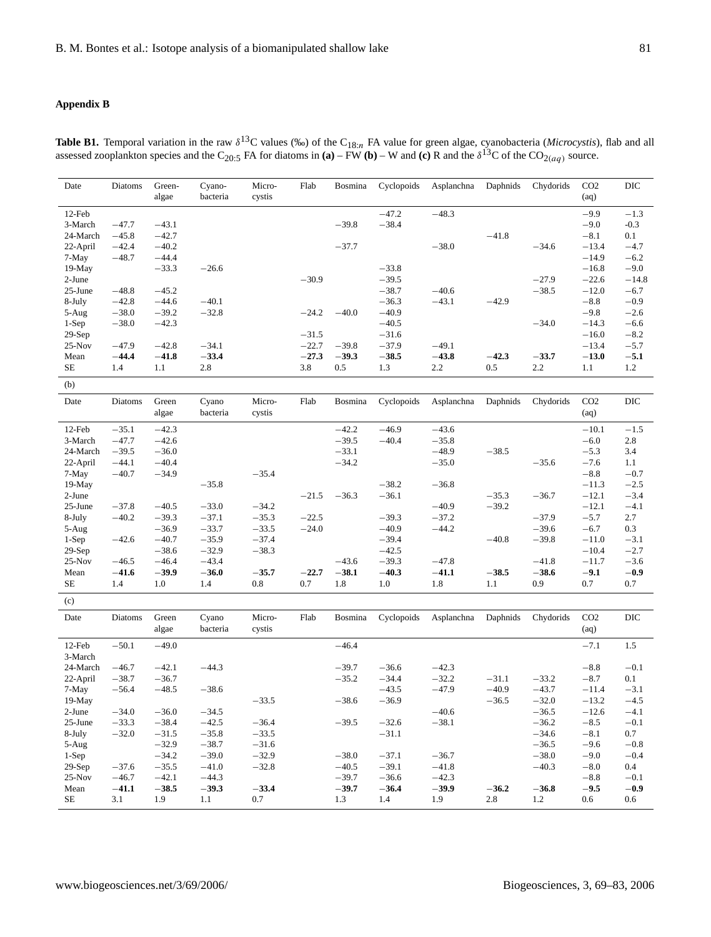# **Appendix B**

| Date              | Diatoms | Green-<br>algae | Cyano-<br>bacteria | Micro-<br>cystis | Flab    | Bosmina | Cyclopoids | Asplanchna | Daphnids | Chydorids | CO <sub>2</sub><br>(aq) | DIC     |
|-------------------|---------|-----------------|--------------------|------------------|---------|---------|------------|------------|----------|-----------|-------------------------|---------|
| 12-Feb            |         |                 |                    |                  |         |         | $-47.2$    | $-48.3$    |          |           | $-9.9$                  | $-1.3$  |
| 3-March           | $-47.7$ | $-43.1$         |                    |                  |         | $-39.8$ | $-38.4$    |            |          |           | $-9.0$                  | $-0.3$  |
| 24-March          | $-45.8$ | $-42.7$         |                    |                  |         |         |            |            | $-41.8$  |           | $-8.1$                  | 0.1     |
| 22-April          | $-42.4$ | $-40.2$         |                    |                  |         | $-37.7$ |            | $-38.0$    |          | $-34.6$   | $-13.4$                 | $-4.7$  |
| 7-May             | $-48.7$ | $-44.4$         |                    |                  |         |         |            |            |          |           | $-14.9$                 | $-6.2$  |
| 19-May            |         | $-33.3$         | $-26.6$            |                  |         |         | $-33.8$    |            |          |           | $-16.8$                 | $-9.0$  |
| $2-J$ une         |         |                 |                    |                  | $-30.9$ |         | $-39.5$    |            |          | $-27.9$   | $-22.6$                 | $-14.8$ |
| 25-June           | $-48.8$ | $-45.2$         |                    |                  |         |         | $-38.7$    | $-40.6$    |          | $-38.5$   | $-12.0$                 | $-6.7$  |
| 8-July            | $-42.8$ | $-44.6$         | $-40.1$            |                  |         |         | $-36.3$    | $-43.1$    | $-42.9$  |           | $-8.8$                  | $-0.9$  |
| $5-Aug$           | $-38.0$ | $-39.2$         | $-32.8$            |                  | $-24.2$ | $-40.0$ | $-40.9$    |            |          |           | $-9.8$                  | $-2.6$  |
| $1-Sep$           | $-38.0$ | $-42.3$         |                    |                  |         |         | $-40.5$    |            |          | $-34.0$   | $-14.3$                 | $-6.6$  |
| $29-Sep$          |         |                 |                    |                  | $-31.5$ |         | $-31.6$    |            |          |           | $-16.0$                 | $-8.2$  |
| $25-Nov$          | $-47.9$ | $-42.8$         | $-34.1$            |                  | $-22.7$ | $-39.8$ | $-37.9$    | $-49.1$    |          |           | $-13.4$                 | $-5.7$  |
| Mean              | $-44.4$ | $-41.8$         | $-33.4$            |                  | $-27.3$ | $-39.3$ | $-38.5$    | $-43.8$    | $-42.3$  | $-33.7$   | $-13.0$                 | $-5.1$  |
| <b>SE</b>         | 1.4     | 1.1             | 2.8                |                  | 3.8     | 0.5     | 1.3        | 2.2        | 0.5      | 2.2       | 1.1                     | 1.2     |
| (b)               |         |                 |                    |                  |         |         |            |            |          |           |                         |         |
| Date              | Diatoms | Green<br>algae  | Cyano<br>bacteria  | Micro-<br>cystis | Flab    | Bosmina | Cyclopoids | Asplanchna | Daphnids | Chydorids | CO <sub>2</sub><br>(aq) | DIC     |
| 12-Feb            | $-35.1$ | $-42.3$         |                    |                  |         | $-42.2$ | $-46.9$    | $-43.6$    |          |           | $-10.1$                 | $-1.5$  |
| 3-March           | $-47.7$ | $-42.6$         |                    |                  |         | $-39.5$ | $-40.4$    | $-35.8$    |          |           | $-6.0$                  | 2.8     |
| 24-March          | $-39.5$ | $-36.0$         |                    |                  |         | $-33.1$ |            | $-48.9$    | $-38.5$  |           | $-5.3$                  | 3.4     |
| 22-April          | $-44.1$ | $-40.4$         |                    |                  |         | $-34.2$ |            | $-35.0$    |          | $-35.6$   | $-7.6$                  | 1.1     |
| 7-May             | $-40.7$ | $-34.9$         |                    | $-35.4$          |         |         |            |            |          |           | $-8.8$                  | $-0.7$  |
| 19-May            |         |                 | $-35.8$            |                  |         |         | $-38.2$    | $-36.8$    |          |           | $-11.3$                 | $-2.5$  |
| $2-June$          |         |                 |                    |                  | $-21.5$ | $-36.3$ | $-36.1$    |            | $-35.3$  | $-36.7$   | $-12.1$                 | $-3.4$  |
| 25-June           | $-37.8$ | $-40.5$         | $-33.0$            | $-34.2$          |         |         |            | $-40.9$    | $-39.2$  |           | $-12.1$                 | $-4.1$  |
| 8-July            | $-40.2$ | $-39.3$         | $-37.1$            | $-35.3$          | $-22.5$ |         | $-39.3$    | $-37.2$    |          | $-37.9$   | $-5.7$                  | 2.7     |
| 5-Aug             |         | $-36.9$         | $-33.7$            | $-33.5$          | $-24.0$ |         | $-40.9$    | $-44.2$    |          | $-39.6$   | $-6.7$                  | 0.3     |
| $1-Sep$           | $-42.6$ | $-40.7$         | $-35.9$            | $-37.4$          |         |         | $-39.4$    |            | $-40.8$  | $-39.8$   | $-11.0$                 | $-3.1$  |
| $29-Sep$          |         | $-38.6$         | $-32.9$            | $-38.3$          |         |         | $-42.5$    |            |          |           | $-10.4$                 | $-2.7$  |
| $25-Nov$          | $-46.5$ | $-46.4$         | $-43.4$            |                  |         | $-43.6$ | $-39.3$    | $-47.8$    |          | $-41.8$   | $-11.7$                 | $-3.6$  |
| Mean              | $-41.6$ | $-39.9$         | $-36.0$            | $-35.7$          | $-22.7$ | $-38.1$ | $-40.3$    | $-41.1$    | $-38.5$  | $-38.6$   | $-9.1$                  | $-0.9$  |
| SE                | 1.4     | 1.0             | 1.4                | 0.8              | 0.7     | 1.8     | 1.0        | 1.8        | 1.1      | 0.9       | 0.7                     | 0.7     |
| (c)               |         |                 |                    |                  |         |         |            |            |          |           |                         |         |
| Date              | Diatoms | Green           | Cyano              | Micro-           | Flab    | Bosmina | Cyclopoids | Asplanchna | Daphnids | Chydorids | CO <sub>2</sub>         | DIC     |
|                   |         | algae           | bacteria           | cystis           |         |         |            |            |          |           | (aq)                    |         |
|                   |         |                 |                    |                  |         |         |            |            |          |           |                         |         |
| 12-Feb<br>3-March | $-50.1$ | $-49.0$         |                    |                  |         | $-46.4$ |            |            |          |           | $-7.1$                  | 1.5     |
| 24-March          | $-46.7$ | $-42.1$         | $-44.3$            |                  |         | $-39.7$ | $-36.6$    | $-42.3$    |          |           | $-8.8$                  | $-0.1$  |
| 22-April          | $-38.7$ | $-36.7$         |                    |                  |         | $-35.2$ | $-34.4$    | $-32.2$    | $-31.1$  | $-33.2$   | $-8.7$                  | 0.1     |
| 7-May             | $-56.4$ | $-48.5$         | $-38.6$            |                  |         |         | $-43.5$    | $-47.9$    | $-40.9$  | $-43.7$   | $-11.4$                 | $-3.1$  |
| $19-May$          |         |                 |                    | $-33.5$          |         | $-38.6$ | $-36.9$    |            | $-36.5$  | $-32.0$   | $-13.2$                 | $-4.5$  |
| 2-June            | $-34.0$ | $-36.0$         | $-34.5$            |                  |         |         |            | $-40.6$    |          | $-36.5$   | $-12.6$                 | $-4.1$  |
| 25-June           | $-33.3$ | $-38.4$         | $-42.5$            | $-36.4$          |         | $-39.5$ | $-32.6$    | $-38.1$    |          | $-36.2$   | $-8.5$                  | $-0.1$  |
| 8-July            | $-32.0$ | $-31.5$         | $-35.8$            | $-33.5$          |         |         | $-31.1$    |            |          | $-34.6$   | $-8.1$                  | 0.7     |
| $5-Aug$           |         | $-32.9$         | $-38.7$            | $-31.6$          |         |         |            |            |          | $-36.5$   | $-9.6$                  | $-0.8$  |
| $1-Sep$           |         | $-34.2$         | $-39.0$            | $-32.9$          |         | $-38.0$ | $-37.1$    | $-36.7$    |          | $-38.0$   | $-9.0$                  | $-0.4$  |

29-Sep −37.6 −35.5 −41.0 −32.8 −40.5 −39.1 −41.8 −40.3 −8.0 0.4 25-Nov −46.7 −42.1 −44.3 −39.7 −36.6 −42.3 −8.8 −0.1 Mean −**41.1** −**38.5** −**39.3** −**33.4** −**39.7** −**36.4** −**39.9** −**36.2** −**36.8** −**9.5** −**0.9** SE 3.1 1.9 1.1 0.7 1.3 1.4 1.9 2.8 1.2 0.6 0.6

**Table B1.** Temporal variation in the raw  $\delta^{13}C$  values (‰) of the C<sub>18:n</sub> FA value for green algae, cyanobacteria (*Microcystis*), flab and all assessed zooplankton species and the C<sub>20:5</sub> FA for diatoms in **(a)** – FW **(b)** – W and **(c)** R and the  $\delta^{13}C$  of the CO<sub>2(aq)</sub> source.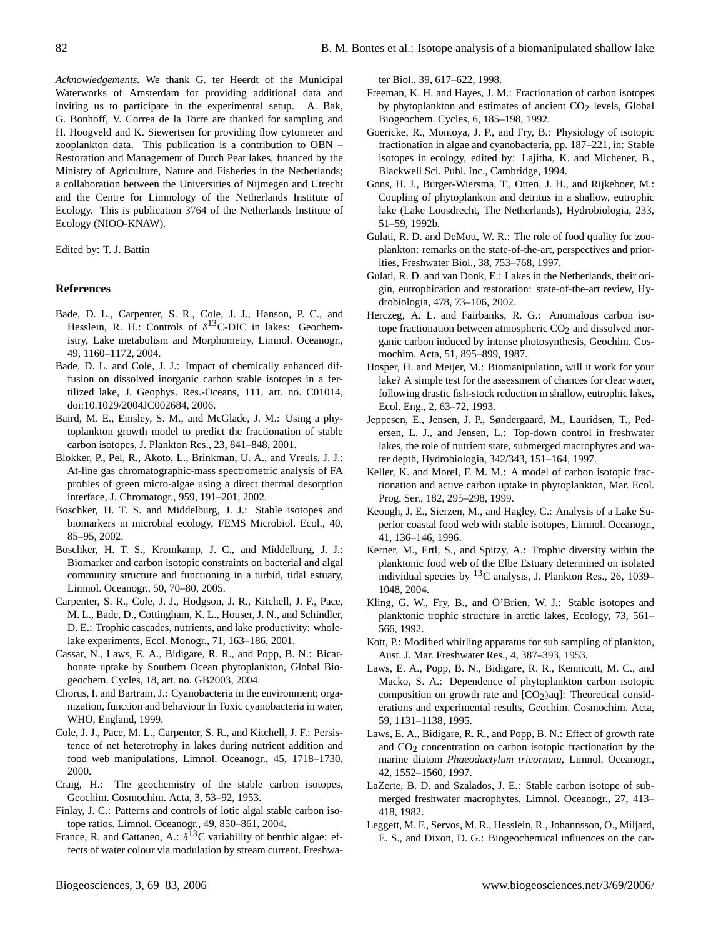*Acknowledgements.* We thank G. ter Heerdt of the Municipal Waterworks of Amsterdam for providing additional data and inviting us to participate in the experimental setup. A. Bak, G. Bonhoff, V. Correa de la Torre are thanked for sampling and H. Hoogveld and K. Siewertsen for providing flow cytometer and zooplankton data. This publication is a contribution to OBN – Restoration and Management of Dutch Peat lakes, financed by the Ministry of Agriculture, Nature and Fisheries in the Netherlands; a collaboration between the Universities of Nijmegen and Utrecht and the Centre for Limnology of the Netherlands Institute of Ecology. This is publication 3764 of the Netherlands Institute of Ecology (NIOO-KNAW).

Edited by: T. J. Battin

#### **References**

- Bade, D. L., Carpenter, S. R., Cole, J. J., Hanson, P. C., and Hesslein, R. H.: Controls of  $\delta^{13}$ C-DIC in lakes: Geochemistry, Lake metabolism and Morphometry, Limnol. Oceanogr., 49, 1160–1172, 2004.
- Bade, D. L. and Cole, J. J.: Impact of chemically enhanced diffusion on dissolved inorganic carbon stable isotopes in a fertilized lake, J. Geophys. Res.-Oceans, 111, art. no. C01014, doi:10.1029/2004JC002684, 2006.
- Baird, M. E., Emsley, S. M., and McGlade, J. M.: Using a phytoplankton growth model to predict the fractionation of stable carbon isotopes, J. Plankton Res., 23, 841–848, 2001.
- Blokker, P., Pel, R., Akoto, L., Brinkman, U. A., and Vreuls, J. J.: At-line gas chromatographic-mass spectrometric analysis of FA profiles of green micro-algae using a direct thermal desorption interface, J. Chromatogr., 959, 191–201, 2002.
- Boschker, H. T. S. and Middelburg, J. J.: Stable isotopes and biomarkers in microbial ecology, FEMS Microbiol. Ecol., 40, 85–95, 2002.
- Boschker, H. T. S., Kromkamp, J. C., and Middelburg, J. J.: Biomarker and carbon isotopic constraints on bacterial and algal community structure and functioning in a turbid, tidal estuary, Limnol. Oceanogr., 50, 70–80, 2005.
- Carpenter, S. R., Cole, J. J., Hodgson, J. R., Kitchell, J. F., Pace, M. L., Bade, D., Cottingham, K. L., Houser, J. N., and Schindler, D. E.: Trophic cascades, nutrients, and lake productivity: wholelake experiments, Ecol. Monogr., 71, 163–186, 2001.
- Cassar, N., Laws, E. A., Bidigare, R. R., and Popp, B. N.: Bicarbonate uptake by Southern Ocean phytoplankton, Global Biogeochem. Cycles, 18, art. no. GB2003, 2004.
- Chorus, I. and Bartram, J.: Cyanobacteria in the environment; organization, function and behaviour In Toxic cyanobacteria in water, WHO, England, 1999.
- Cole, J. J., Pace, M. L., Carpenter, S. R., and Kitchell, J. F.: Persistence of net heterotrophy in lakes during nutrient addition and food web manipulations, Limnol. Oceanogr., 45, 1718–1730, 2000.
- Craig, H.: The geochemistry of the stable carbon isotopes, Geochim. Cosmochim. Acta, 3, 53–92, 1953.
- Finlay, J. C.: Patterns and controls of lotic algal stable carbon isotope ratios. Limnol. Oceanogr., 49, 850–861, 2004.
- France, R. and Cattaneo, A.:  $\delta^{13}$ C variability of benthic algae: effects of water colour via modulation by stream current. Freshwa-

ter Biol., 39, 617–622, 1998.

- Freeman, K. H. and Hayes, J. M.: Fractionation of carbon isotopes by phytoplankton and estimates of ancient  $CO<sub>2</sub>$  levels, Global Biogeochem. Cycles, 6, 185–198, 1992.
- Goericke, R., Montoya, J. P., and Fry, B.: Physiology of isotopic fractionation in algae and cyanobacteria, pp. 187–221, in: Stable isotopes in ecology, edited by: Lajitha, K. and Michener, B., Blackwell Sci. Publ. Inc., Cambridge, 1994.
- Gons, H. J., Burger-Wiersma, T., Otten, J. H., and Rijkeboer, M.: Coupling of phytoplankton and detritus in a shallow, eutrophic lake (Lake Loosdrecht, The Netherlands), Hydrobiologia, 233, 51–59, 1992b.
- Gulati, R. D. and DeMott, W. R.: The role of food quality for zooplankton: remarks on the state-of-the-art, perspectives and priorities, Freshwater Biol., 38, 753–768, 1997.
- Gulati, R. D. and van Donk, E.: Lakes in the Netherlands, their origin, eutrophication and restoration: state-of-the-art review, Hydrobiologia, 478, 73–106, 2002.
- Herczeg, A. L. and Fairbanks, R. G.: Anomalous carbon isotope fractionation between atmospheric  $CO<sub>2</sub>$  and dissolved inorganic carbon induced by intense photosynthesis, Geochim. Cosmochim. Acta, 51, 895–899, 1987.
- Hosper, H. and Meijer, M.: Biomanipulation, will it work for your lake? A simple test for the assessment of chances for clear water, following drastic fish-stock reduction in shallow, eutrophic lakes, Ecol. Eng., 2, 63–72, 1993.
- Jeppesen, E., Jensen, J. P., Søndergaard, M., Lauridsen, T., Pedersen, L. J., and Jensen, L.: Top-down control in freshwater lakes, the role of nutrient state, submerged macrophytes and water depth, Hydrobiologia, 342/343, 151–164, 1997.
- Keller, K. and Morel, F. M. M.: A model of carbon isotopic fractionation and active carbon uptake in phytoplankton, Mar. Ecol. Prog. Ser., 182, 295–298, 1999.
- Keough, J. E., Sierzen, M., and Hagley, C.: Analysis of a Lake Superior coastal food web with stable isotopes, Limnol. Oceanogr., 41, 136–146, 1996.
- Kerner, M., Ertl, S., and Spitzy, A.: Trophic diversity within the planktonic food web of the Elbe Estuary determined on isolated individual species by  ${}^{13}C$  analysis, J. Plankton Res., 26, 1039– 1048, 2004.
- Kling, G. W., Fry, B., and O'Brien, W. J.: Stable isotopes and planktonic trophic structure in arctic lakes, Ecology, 73, 561– 566, 1992.
- Kott, P.: Modified whirling apparatus for sub sampling of plankton, Aust. J. Mar. Freshwater Res., 4, 387–393, 1953.
- Laws, E. A., Popp, B. N., Bidigare, R. R., Kennicutt, M. C., and Macko, S. A.: Dependence of phytoplankton carbon isotopic composition on growth rate and  $[CO<sub>2</sub>)$ aq]: Theoretical considerations and experimental results, Geochim. Cosmochim. Acta, 59, 1131–1138, 1995.
- Laws, E. A., Bidigare, R. R., and Popp, B. N.: Effect of growth rate and  $CO<sub>2</sub>$  concentration on carbon isotopic fractionation by the marine diatom *Phaeodactylum tricornutu*, Limnol. Oceanogr., 42, 1552–1560, 1997.
- LaZerte, B. D. and Szalados, J. E.: Stable carbon isotope of submerged freshwater macrophytes, Limnol. Oceanogr., 27, 413– 418, 1982.
- Leggett, M. F., Servos, M. R., Hesslein, R., Johannsson, O., Miljard, E. S., and Dixon, D. G.: Biogeochemical influences on the car-